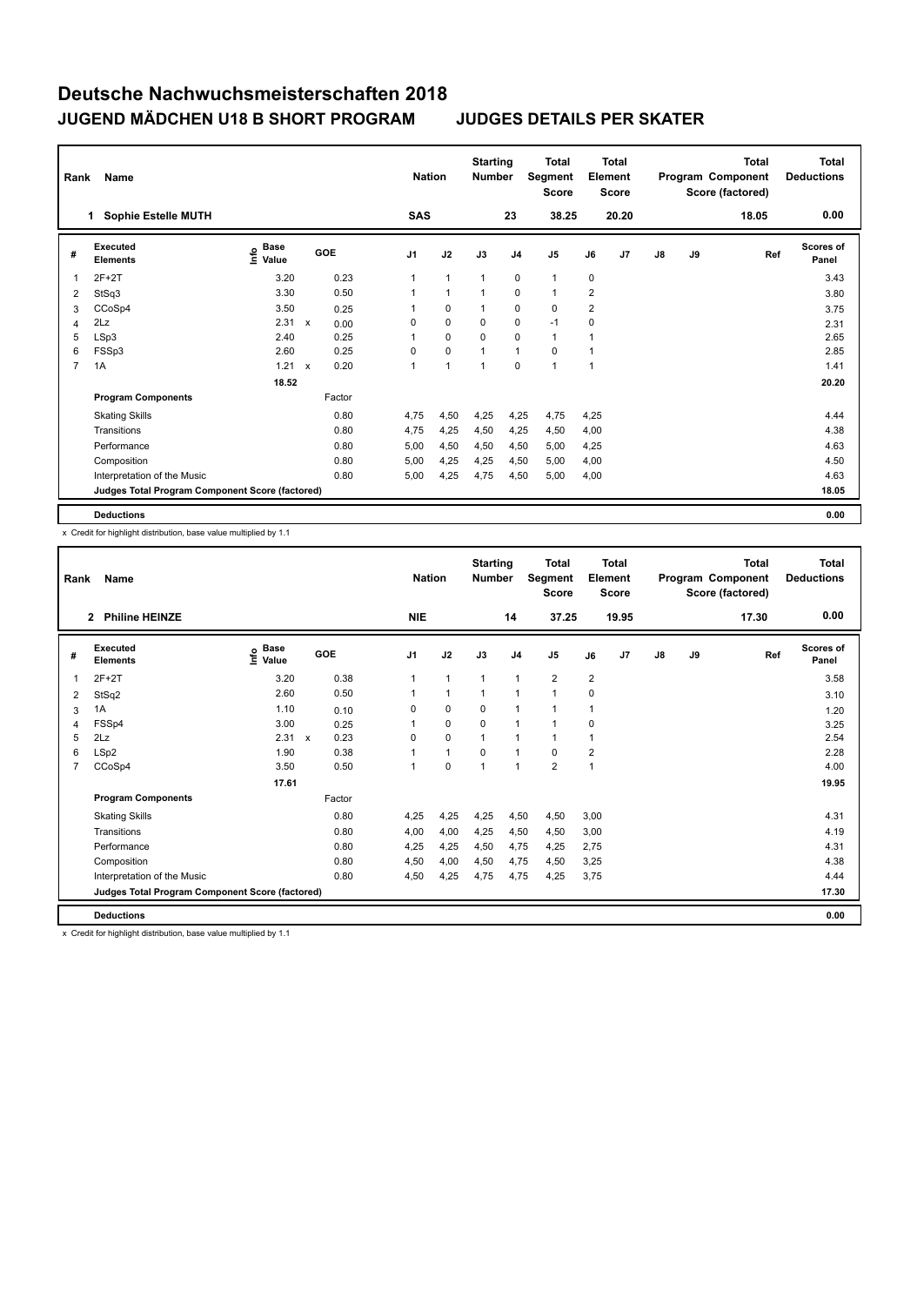| Rank           | Name                                            |                              |              |        | <b>Nation</b>  |                | <b>Starting</b><br><b>Number</b> |                | <b>Total</b><br>Segment<br><b>Score</b> |                | <b>Total</b><br>Element<br><b>Score</b> |               |    | <b>Total</b><br>Program Component<br>Score (factored) | <b>Total</b><br><b>Deductions</b> |
|----------------|-------------------------------------------------|------------------------------|--------------|--------|----------------|----------------|----------------------------------|----------------|-----------------------------------------|----------------|-----------------------------------------|---------------|----|-------------------------------------------------------|-----------------------------------|
|                | <b>Sophie Estelle MUTH</b><br>1                 |                              |              |        | <b>SAS</b>     |                |                                  | 23             | 38.25                                   |                | 20.20                                   |               |    | 18.05                                                 | 0.00                              |
| #              | Executed<br><b>Elements</b>                     | <b>Base</b><br>lnfo<br>Value |              | GOE    | J <sub>1</sub> | J2             | J3                               | J <sub>4</sub> | J <sub>5</sub>                          | J6             | J <sub>7</sub>                          | $\mathsf{J}8$ | J9 | Ref                                                   | <b>Scores of</b><br>Panel         |
| 1              | $2F+2T$                                         | 3.20                         |              | 0.23   | 1              | $\overline{1}$ | $\mathbf{1}$                     | $\mathbf 0$    | $\mathbf{1}$                            | 0              |                                         |               |    |                                                       | 3.43                              |
| 2              | StSq3                                           | 3.30                         |              | 0.50   | 1              | $\overline{1}$ | $\overline{1}$                   | $\Omega$       | $\mathbf{1}$                            | $\overline{2}$ |                                         |               |    |                                                       | 3.80                              |
| 3              | CCoSp4                                          | 3.50                         |              | 0.25   |                | 0              |                                  | $\mathbf 0$    | $\mathbf 0$                             | 2              |                                         |               |    |                                                       | 3.75                              |
| 4              | 2Lz                                             | $2.31 \times$                |              | 0.00   | 0              | $\mathbf 0$    | 0                                | $\mathbf 0$    | $-1$                                    | 0              |                                         |               |    |                                                       | 2.31                              |
| 5              | LSp3                                            | 2.40                         |              | 0.25   | 1              | $\mathbf 0$    | $\Omega$                         | $\mathbf 0$    | $\mathbf{1}$                            | 1              |                                         |               |    |                                                       | 2.65                              |
| 6              | FSSp3                                           | 2.60                         |              | 0.25   | 0              | $\mathbf 0$    | $\overline{1}$                   | $\mathbf{1}$   | 0                                       | 1              |                                         |               |    |                                                       | 2.85                              |
| $\overline{7}$ | 1A                                              | 1.21                         | $\mathsf{x}$ | 0.20   | 1              | $\overline{1}$ | $\overline{1}$                   | $\mathbf 0$    | $\overline{1}$                          | $\mathbf{1}$   |                                         |               |    |                                                       | 1.41                              |
|                |                                                 | 18.52                        |              |        |                |                |                                  |                |                                         |                |                                         |               |    |                                                       | 20.20                             |
|                | <b>Program Components</b>                       |                              |              | Factor |                |                |                                  |                |                                         |                |                                         |               |    |                                                       |                                   |
|                | <b>Skating Skills</b>                           |                              |              | 0.80   | 4,75           | 4,50           | 4,25                             | 4,25           | 4,75                                    | 4,25           |                                         |               |    |                                                       | 4.44                              |
|                | Transitions                                     |                              |              | 0.80   | 4,75           | 4,25           | 4,50                             | 4,25           | 4,50                                    | 4,00           |                                         |               |    |                                                       | 4.38                              |
|                | Performance                                     |                              |              | 0.80   | 5,00           | 4,50           | 4,50                             | 4,50           | 5,00                                    | 4,25           |                                         |               |    |                                                       | 4.63                              |
|                | Composition                                     |                              |              | 0.80   | 5,00           | 4,25           | 4,25                             | 4,50           | 5,00                                    | 4,00           |                                         |               |    |                                                       | 4.50                              |
|                | Interpretation of the Music                     |                              |              | 0.80   | 5,00           | 4,25           | 4,75                             | 4,50           | 5,00                                    | 4,00           |                                         |               |    |                                                       | 4.63                              |
|                | Judges Total Program Component Score (factored) |                              |              |        |                |                |                                  |                |                                         |                |                                         |               |    |                                                       | 18.05                             |
|                | <b>Deductions</b>                               |                              |              |        |                |                |                                  |                |                                         |                |                                         |               |    |                                                       | 0.00                              |

x Credit for highlight distribution, base value multiplied by 1.1

| Rank | Name                                            |                              |              |        |            | <b>Nation</b>        | <b>Starting</b><br><b>Number</b> |                | <b>Total</b><br>Segment<br><b>Score</b> |                | Total<br>Element<br><b>Score</b> |               |    | Total<br>Program Component<br>Score (factored) | <b>Total</b><br><b>Deductions</b> |
|------|-------------------------------------------------|------------------------------|--------------|--------|------------|----------------------|----------------------------------|----------------|-----------------------------------------|----------------|----------------------------------|---------------|----|------------------------------------------------|-----------------------------------|
|      | <b>Philine HEINZE</b><br>$\overline{2}$         |                              |              |        | <b>NIE</b> |                      |                                  | 14             | 37.25                                   |                | 19.95                            |               |    | 17.30                                          | 0.00                              |
| #    | <b>Executed</b><br><b>Elements</b>              | <b>Base</b><br>١nf٥<br>Value | GOE          |        | J1         | J2                   | J3                               | J <sub>4</sub> | J5                                      | J6             | J7                               | $\mathsf{J}8$ | J9 | Ref                                            | Scores of<br>Panel                |
| 1    | $2F+2T$                                         | 3.20                         |              | 0.38   |            | $\mathbf{1}$         | 1                                | $\overline{1}$ | $\overline{2}$                          | $\overline{2}$ |                                  |               |    |                                                | 3.58                              |
| 2    | StSq2                                           | 2.60                         |              | 0.50   |            | 1                    | 1                                | $\mathbf{1}$   | 1                                       | 0              |                                  |               |    |                                                | 3.10                              |
| 3    | 1A                                              | 1.10                         |              | 0.10   | 0          | $\mathbf 0$          | $\mathbf 0$                      | $\mathbf{1}$   | 1                                       | 1              |                                  |               |    |                                                | 1.20                              |
| 4    | FSSp4                                           | 3.00                         |              | 0.25   |            | 0                    | 0                                | $\mathbf{1}$   | 1                                       | 0              |                                  |               |    |                                                | 3.25                              |
| 5    | 2Lz                                             | 2.31                         | $\mathsf{x}$ | 0.23   | $\Omega$   | 0                    | 1                                | $\mathbf{1}$   | 1                                       | 1              |                                  |               |    |                                                | 2.54                              |
| 6    | LSp2                                            | 1.90                         |              | 0.38   |            | $\blacktriangleleft$ | $\Omega$                         | $\overline{1}$ | 0                                       | 2              |                                  |               |    |                                                | 2.28                              |
| 7    | CCoSp4                                          | 3.50                         |              | 0.50   |            | $\mathbf 0$          | $\overline{1}$                   | $\mathbf{1}$   | $\overline{2}$                          | 1              |                                  |               |    |                                                | 4.00                              |
|      |                                                 | 17.61                        |              |        |            |                      |                                  |                |                                         |                |                                  |               |    |                                                | 19.95                             |
|      | <b>Program Components</b>                       |                              |              | Factor |            |                      |                                  |                |                                         |                |                                  |               |    |                                                |                                   |
|      | <b>Skating Skills</b>                           |                              |              | 0.80   | 4,25       | 4,25                 | 4,25                             | 4,50           | 4,50                                    | 3,00           |                                  |               |    |                                                | 4.31                              |
|      | Transitions                                     |                              |              | 0.80   | 4,00       | 4,00                 | 4,25                             | 4,50           | 4,50                                    | 3,00           |                                  |               |    |                                                | 4.19                              |
|      | Performance                                     |                              |              | 0.80   | 4.25       | 4,25                 | 4,50                             | 4,75           | 4,25                                    | 2.75           |                                  |               |    |                                                | 4.31                              |
|      | Composition                                     |                              |              | 0.80   | 4,50       | 4.00                 | 4,50                             | 4,75           | 4,50                                    | 3,25           |                                  |               |    |                                                | 4.38                              |
|      | Interpretation of the Music                     |                              |              | 0.80   | 4,50       | 4,25                 | 4,75                             | 4,75           | 4,25                                    | 3,75           |                                  |               |    |                                                | 4.44                              |
|      | Judges Total Program Component Score (factored) |                              |              |        |            |                      |                                  |                |                                         |                |                                  |               |    |                                                | 17.30                             |
|      | <b>Deductions</b>                               |                              |              |        |            |                      |                                  |                |                                         |                |                                  |               |    |                                                | 0.00                              |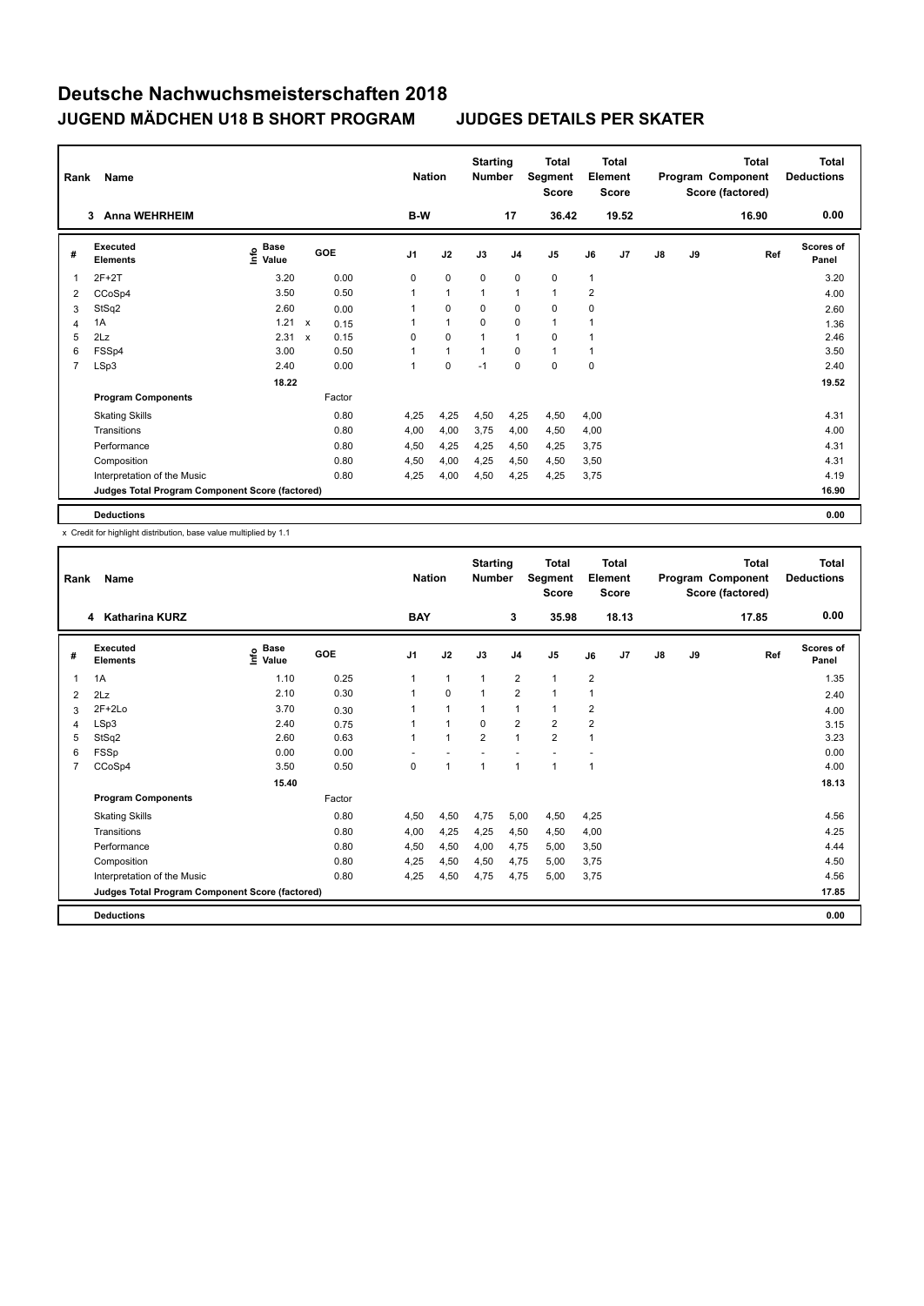| Rank           | Name                                            |                              |        | <b>Nation</b>  |              | <b>Starting</b><br><b>Number</b> |                | Total<br>Segment<br><b>Score</b> |                | <b>Total</b><br>Element<br><b>Score</b> |               |    | <b>Total</b><br>Program Component<br>Score (factored) | <b>Total</b><br><b>Deductions</b> |
|----------------|-------------------------------------------------|------------------------------|--------|----------------|--------------|----------------------------------|----------------|----------------------------------|----------------|-----------------------------------------|---------------|----|-------------------------------------------------------|-----------------------------------|
|                | <b>Anna WEHRHEIM</b><br>3                       |                              |        | B-W            |              |                                  | 17             | 36.42                            |                | 19.52                                   |               |    | 16.90                                                 | 0.00                              |
| #              | Executed<br><b>Elements</b>                     | <b>Base</b><br>lnfo<br>Value | GOE    | J <sub>1</sub> | J2           | J3                               | J <sub>4</sub> | J <sub>5</sub>                   | J6             | J7                                      | $\mathsf{J}8$ | J9 | Ref                                                   | <b>Scores of</b><br>Panel         |
| 1              | $2F+2T$                                         | 3.20                         | 0.00   | 0              | $\mathbf 0$  | $\mathbf 0$                      | $\mathbf 0$    | $\mathbf 0$                      | 1              |                                         |               |    |                                                       | 3.20                              |
| 2              | CCoSp4                                          | 3.50                         | 0.50   | 1              | $\mathbf{1}$ | 1                                | $\mathbf{1}$   | $\mathbf{1}$                     | $\overline{2}$ |                                         |               |    |                                                       | 4.00                              |
| 3              | StSq2                                           | 2.60                         | 0.00   |                | $\mathbf 0$  | 0                                | 0              | 0                                | 0              |                                         |               |    |                                                       | 2.60                              |
| 4              | 1A                                              | $1.21 \times$                | 0.15   |                | $\mathbf{1}$ | 0                                | 0              | $\mathbf{1}$                     | 1              |                                         |               |    |                                                       | 1.36                              |
| 5              | 2Lz                                             | 2.31 x                       | 0.15   | $\Omega$       | $\mathbf 0$  |                                  | $\mathbf{1}$   | $\Omega$                         | 1              |                                         |               |    |                                                       | 2.46                              |
| 6              | FSSp4                                           | 3.00                         | 0.50   |                | $\mathbf{1}$ |                                  | $\Omega$       | $\mathbf{1}$                     | 1              |                                         |               |    |                                                       | 3.50                              |
| $\overline{7}$ | LSp3                                            | 2.40                         | 0.00   | 1              | $\mathbf 0$  | $-1$                             | $\mathbf 0$    | $\mathbf 0$                      | 0              |                                         |               |    |                                                       | 2.40                              |
|                |                                                 | 18.22                        |        |                |              |                                  |                |                                  |                |                                         |               |    |                                                       | 19.52                             |
|                | <b>Program Components</b>                       |                              | Factor |                |              |                                  |                |                                  |                |                                         |               |    |                                                       |                                   |
|                | <b>Skating Skills</b>                           |                              | 0.80   | 4,25           | 4,25         | 4,50                             | 4,25           | 4,50                             | 4.00           |                                         |               |    |                                                       | 4.31                              |
|                | Transitions                                     |                              | 0.80   | 4,00           | 4,00         | 3,75                             | 4,00           | 4,50                             | 4,00           |                                         |               |    |                                                       | 4.00                              |
|                | Performance                                     |                              | 0.80   | 4,50           | 4,25         | 4,25                             | 4,50           | 4,25                             | 3,75           |                                         |               |    |                                                       | 4.31                              |
|                | Composition                                     |                              | 0.80   | 4,50           | 4,00         | 4,25                             | 4,50           | 4,50                             | 3,50           |                                         |               |    |                                                       | 4.31                              |
|                | Interpretation of the Music                     |                              | 0.80   | 4,25           | 4,00         | 4,50                             | 4,25           | 4,25                             | 3,75           |                                         |               |    |                                                       | 4.19                              |
|                | Judges Total Program Component Score (factored) |                              |        |                |              |                                  |                |                                  |                |                                         |               |    |                                                       | 16.90                             |
|                | <b>Deductions</b>                               |                              |        |                |              |                                  |                |                                  |                |                                         |               |    |                                                       | 0.00                              |

| Rank | Name                                            | <b>Nation</b>                           |        | <b>Starting</b><br><b>Number</b> |                      | <b>Total</b><br>Segment<br><b>Score</b> |                | Total<br>Element<br><b>Score</b> |                |                | Total<br>Program Component<br>Score (factored) | <b>Total</b><br><b>Deductions</b> |       |                           |
|------|-------------------------------------------------|-----------------------------------------|--------|----------------------------------|----------------------|-----------------------------------------|----------------|----------------------------------|----------------|----------------|------------------------------------------------|-----------------------------------|-------|---------------------------|
|      | <b>Katharina KURZ</b><br>4                      |                                         |        | <b>BAY</b>                       |                      |                                         | 3              | 35.98                            |                | 18.13          |                                                |                                   | 17.85 | 0.00                      |
| #    | Executed<br><b>Elements</b>                     | $\mathbf{e}$ Base<br>$\mathbf{e}$ Value | GOE    | J <sub>1</sub>                   | J2                   | J3                                      | J <sub>4</sub> | J5                               | J6             | J <sub>7</sub> | $\mathsf{J}8$                                  | J9                                | Ref   | <b>Scores of</b><br>Panel |
| 1    | 1A                                              | 1.10                                    | 0.25   | 1                                | $\mathbf{1}$         | 1                                       | $\overline{2}$ | $\mathbf{1}$                     | $\overline{2}$ |                |                                                |                                   |       | 1.35                      |
| 2    | 2Lz                                             | 2.10                                    | 0.30   |                                  | $\mathbf 0$          | 1                                       | $\overline{2}$ | 1                                | 1              |                |                                                |                                   |       | 2.40                      |
| 3    | $2F+2Lo$                                        | 3.70                                    | 0.30   |                                  | $\mathbf{1}$         | 1                                       | $\mathbf{1}$   | 1                                | $\overline{2}$ |                |                                                |                                   |       | 4.00                      |
| 4    | LSp3                                            | 2.40                                    | 0.75   |                                  | $\blacktriangleleft$ | $\Omega$                                | $\overline{2}$ | $\overline{2}$                   | 2              |                |                                                |                                   |       | 3.15                      |
| 5    | StSq2                                           | 2.60                                    | 0.63   |                                  | $\overline{ }$       | $\overline{2}$                          | $\overline{1}$ | $\overline{2}$                   | 1              |                |                                                |                                   |       | 3.23                      |
| 6    | FSSp                                            | 0.00                                    | 0.00   |                                  |                      |                                         |                |                                  |                |                |                                                |                                   |       | 0.00                      |
| 7    | CCoSp4                                          | 3.50                                    | 0.50   | 0                                | $\mathbf{1}$         | $\overline{1}$                          | $\mathbf{1}$   | 1                                | 1              |                |                                                |                                   |       | 4.00                      |
|      |                                                 | 15.40                                   |        |                                  |                      |                                         |                |                                  |                |                |                                                |                                   |       | 18.13                     |
|      | <b>Program Components</b>                       |                                         | Factor |                                  |                      |                                         |                |                                  |                |                |                                                |                                   |       |                           |
|      | <b>Skating Skills</b>                           |                                         | 0.80   | 4,50                             | 4,50                 | 4,75                                    | 5,00           | 4,50                             | 4.25           |                |                                                |                                   |       | 4.56                      |
|      | Transitions                                     |                                         | 0.80   | 4,00                             | 4,25                 | 4,25                                    | 4,50           | 4,50                             | 4,00           |                |                                                |                                   |       | 4.25                      |
|      | Performance                                     |                                         | 0.80   | 4,50                             | 4,50                 | 4,00                                    | 4,75           | 5,00                             | 3,50           |                |                                                |                                   |       | 4.44                      |
|      | Composition                                     |                                         | 0.80   | 4,25                             | 4,50                 | 4,50                                    | 4,75           | 5,00                             | 3.75           |                |                                                |                                   |       | 4.50                      |
|      | Interpretation of the Music                     |                                         | 0.80   | 4,25                             | 4,50                 | 4,75                                    | 4,75           | 5,00                             | 3,75           |                |                                                |                                   |       | 4.56                      |
|      | Judges Total Program Component Score (factored) |                                         |        |                                  |                      |                                         |                |                                  |                |                |                                                |                                   |       | 17.85                     |
|      | <b>Deductions</b>                               |                                         |        |                                  |                      |                                         |                |                                  |                |                |                                                |                                   |       | 0.00                      |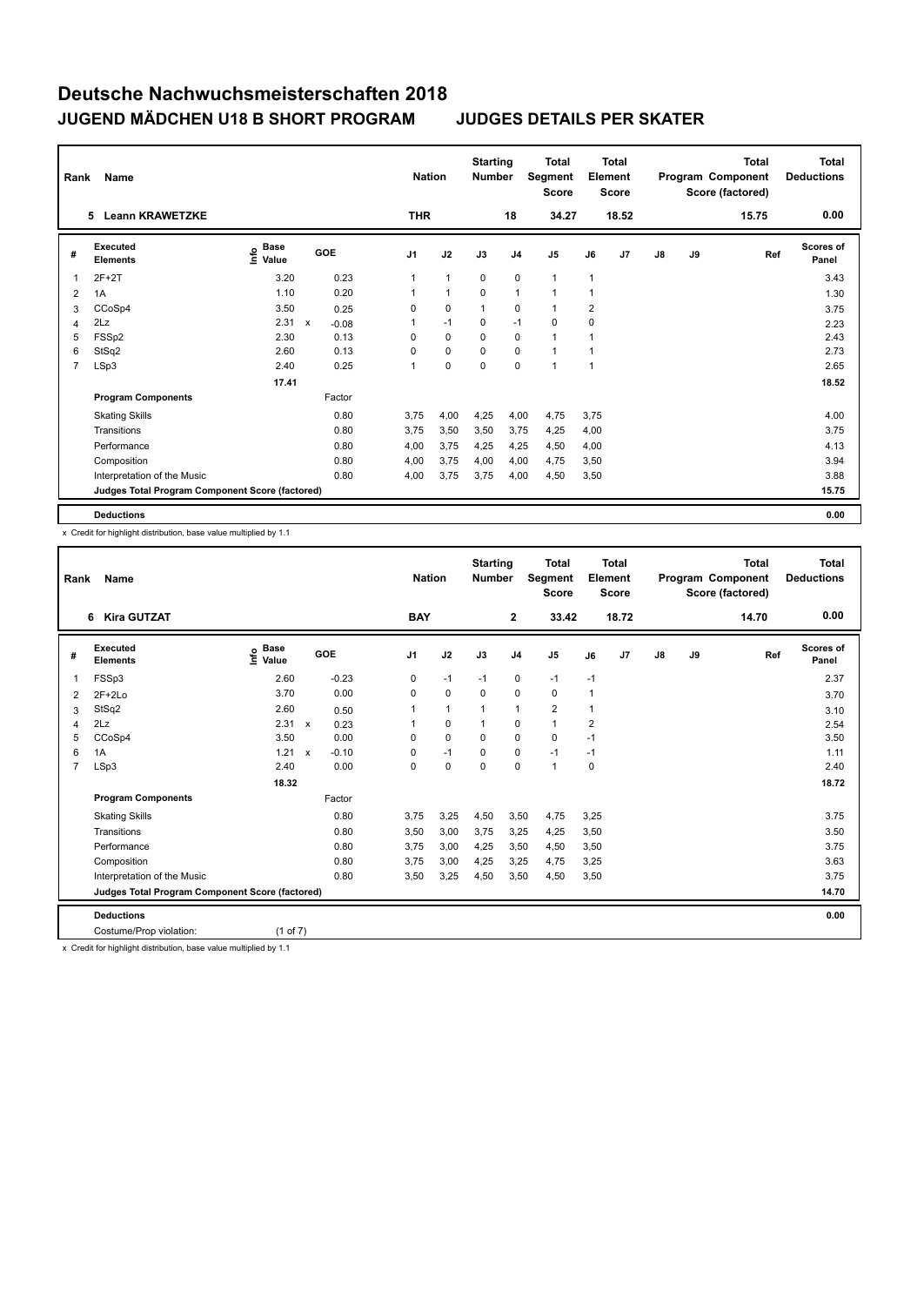| Rank           | Name                                            |                              |         | <b>Nation</b>  |                | <b>Starting</b><br><b>Number</b> |                | <b>Total</b><br>Segment<br><b>Score</b> |              | <b>Total</b><br>Element<br><b>Score</b> |               |    | <b>Total</b><br>Program Component<br>Score (factored) | <b>Total</b><br><b>Deductions</b> |
|----------------|-------------------------------------------------|------------------------------|---------|----------------|----------------|----------------------------------|----------------|-----------------------------------------|--------------|-----------------------------------------|---------------|----|-------------------------------------------------------|-----------------------------------|
|                | 5 Leann KRAWETZKE                               |                              |         | <b>THR</b>     |                |                                  | 18             | 34.27                                   |              | 18.52                                   |               |    | 15.75                                                 | 0.00                              |
| #              | Executed<br><b>Elements</b>                     | <b>Base</b><br>lnfo<br>Value | GOE     | J <sub>1</sub> | J2             | J3                               | J <sub>4</sub> | J <sub>5</sub>                          | J6           | J <sub>7</sub>                          | $\mathsf{J}8$ | J9 | Ref                                                   | <b>Scores of</b><br>Panel         |
| 1              | $2F+2T$                                         | 3.20                         | 0.23    | 1              | $\overline{1}$ | $\mathbf 0$                      | $\mathbf 0$    | $\mathbf{1}$                            | 1            |                                         |               |    |                                                       | 3.43                              |
| 2              | 1A                                              | 1.10                         | 0.20    | 1              | $\overline{1}$ | $\Omega$                         | $\mathbf{1}$   | $\mathbf{1}$                            | 1            |                                         |               |    |                                                       | 1.30                              |
| 3              | CCoSp4                                          | 3.50                         | 0.25    | 0              | $\mathbf 0$    | $\overline{1}$                   | 0              | $\mathbf{1}$                            | 2            |                                         |               |    |                                                       | 3.75                              |
| 4              | 2Lz                                             | 2.31 x                       | $-0.08$ | 1              | $-1$           | 0                                | $-1$           | $\mathbf 0$                             | 0            |                                         |               |    |                                                       | 2.23                              |
| 5              | FSSp2                                           | 2.30                         | 0.13    | $\Omega$       | $\mathbf 0$    | $\Omega$                         | $\mathbf 0$    | $\mathbf{1}$                            | 1            |                                         |               |    |                                                       | 2.43                              |
| 6              | StSq2                                           | 2.60                         | 0.13    | 0              | 0              | $\Omega$                         | $\mathbf 0$    | $\mathbf{1}$                            | 1            |                                         |               |    |                                                       | 2.73                              |
| $\overline{7}$ | LSp3                                            | 2.40                         | 0.25    | 1              | $\mathbf 0$    | $\mathbf 0$                      | $\mathbf 0$    | $\mathbf{1}$                            | $\mathbf{1}$ |                                         |               |    |                                                       | 2.65                              |
|                |                                                 | 17.41                        |         |                |                |                                  |                |                                         |              |                                         |               |    |                                                       | 18.52                             |
|                | <b>Program Components</b>                       |                              | Factor  |                |                |                                  |                |                                         |              |                                         |               |    |                                                       |                                   |
|                | <b>Skating Skills</b>                           |                              | 0.80    | 3.75           | 4,00           | 4,25                             | 4,00           | 4,75                                    | 3.75         |                                         |               |    |                                                       | 4.00                              |
|                | Transitions                                     |                              | 0.80    | 3,75           | 3,50           | 3,50                             | 3,75           | 4,25                                    | 4,00         |                                         |               |    |                                                       | 3.75                              |
|                | Performance                                     |                              | 0.80    | 4,00           | 3,75           | 4,25                             | 4,25           | 4,50                                    | 4,00         |                                         |               |    |                                                       | 4.13                              |
|                | Composition                                     |                              | 0.80    | 4,00           | 3,75           | 4,00                             | 4,00           | 4,75                                    | 3,50         |                                         |               |    |                                                       | 3.94                              |
|                | Interpretation of the Music                     |                              | 0.80    | 4,00           | 3,75           | 3,75                             | 4,00           | 4,50                                    | 3,50         |                                         |               |    |                                                       | 3.88                              |
|                | Judges Total Program Component Score (factored) |                              |         |                |                |                                  |                |                                         |              |                                         |               |    |                                                       | 15.75                             |
|                | <b>Deductions</b>                               |                              |         |                |                |                                  |                |                                         |              |                                         |               |    |                                                       | 0.00                              |

x Credit for highlight distribution, base value multiplied by 1.1

| Rank           | <b>Name</b>                                     |                               |                                      | <b>Nation</b>  |              | <b>Starting</b><br><b>Number</b> |                | <b>Total</b><br>Segment<br><b>Score</b> |      | <b>Total</b><br>Element<br><b>Score</b> |               |    | <b>Total</b><br>Program Component<br>Score (factored) | <b>Total</b><br><b>Deductions</b> |
|----------------|-------------------------------------------------|-------------------------------|--------------------------------------|----------------|--------------|----------------------------------|----------------|-----------------------------------------|------|-----------------------------------------|---------------|----|-------------------------------------------------------|-----------------------------------|
|                | <b>Kira GUTZAT</b><br>6                         |                               |                                      | <b>BAY</b>     |              |                                  | $\overline{2}$ | 33.42                                   |      | 18.72                                   |               |    | 14.70                                                 | 0.00                              |
| #              | Executed<br><b>Elements</b>                     | <b>Base</b><br>Linfo<br>Value | <b>GOE</b>                           | J <sub>1</sub> | J2           | J3                               | J <sub>4</sub> | J5                                      | J6   | J <sub>7</sub>                          | $\mathsf{J}8$ | J9 | Ref                                                   | <b>Scores of</b><br>Panel         |
| 1              | FSSp3                                           | 2.60                          | $-0.23$                              | 0              | $-1$         | $-1$                             | $\mathbf 0$    | $-1$                                    | $-1$ |                                         |               |    |                                                       | 2.37                              |
| 2              | $2F+2Lo$                                        | 3.70                          | 0.00                                 | 0              | $\mathbf 0$  | 0                                | $\mathbf 0$    | 0                                       | 1    |                                         |               |    |                                                       | 3.70                              |
| 3              | StSq2                                           | 2.60                          | 0.50                                 | 1              | $\mathbf{1}$ | $\mathbf{1}$                     | $\mathbf{1}$   | $\overline{2}$                          | 1    |                                         |               |    |                                                       | 3.10                              |
| 4              | 2Lz                                             | 2.31 x                        | 0.23                                 |                | $\mathbf 0$  | 1                                | $\mathbf 0$    | $\mathbf{1}$                            | 2    |                                         |               |    |                                                       | 2.54                              |
| 5              | CCoSp4                                          | 3.50                          | 0.00                                 | $\Omega$       | $\mathbf 0$  | $\Omega$                         | $\mathbf 0$    | $\Omega$                                | $-1$ |                                         |               |    |                                                       | 3.50                              |
| 6              | 1A                                              | 1.21                          | $-0.10$<br>$\boldsymbol{\mathsf{x}}$ | 0              | $-1$         | 0                                | 0              | $-1$                                    | $-1$ |                                         |               |    |                                                       | 1.11                              |
| $\overline{7}$ | LSp3                                            | 2.40                          | 0.00                                 | 0              | 0            | $\mathbf 0$                      | $\mathbf 0$    | $\mathbf{1}$                            | 0    |                                         |               |    |                                                       | 2.40                              |
|                |                                                 | 18.32                         |                                      |                |              |                                  |                |                                         |      |                                         |               |    |                                                       | 18.72                             |
|                | <b>Program Components</b>                       |                               | Factor                               |                |              |                                  |                |                                         |      |                                         |               |    |                                                       |                                   |
|                | <b>Skating Skills</b>                           |                               | 0.80                                 | 3,75           | 3,25         | 4,50                             | 3,50           | 4,75                                    | 3,25 |                                         |               |    |                                                       | 3.75                              |
|                | Transitions                                     |                               | 0.80                                 | 3,50           | 3,00         | 3,75                             | 3,25           | 4,25                                    | 3,50 |                                         |               |    |                                                       | 3.50                              |
|                | Performance                                     |                               | 0.80                                 | 3,75           | 3,00         | 4,25                             | 3,50           | 4,50                                    | 3,50 |                                         |               |    |                                                       | 3.75                              |
|                | Composition                                     |                               | 0.80                                 | 3,75           | 3,00         | 4,25                             | 3,25           | 4,75                                    | 3,25 |                                         |               |    |                                                       | 3.63                              |
|                | Interpretation of the Music                     |                               | 0.80                                 | 3,50           | 3,25         | 4,50                             | 3,50           | 4,50                                    | 3,50 |                                         |               |    |                                                       | 3.75                              |
|                | Judges Total Program Component Score (factored) |                               |                                      |                |              |                                  |                |                                         |      |                                         |               |    |                                                       | 14.70                             |
|                | <b>Deductions</b>                               |                               |                                      |                |              |                                  |                |                                         |      |                                         |               |    |                                                       | 0.00                              |
|                | Costume/Prop violation:                         | (1 of 7)                      |                                      |                |              |                                  |                |                                         |      |                                         |               |    |                                                       |                                   |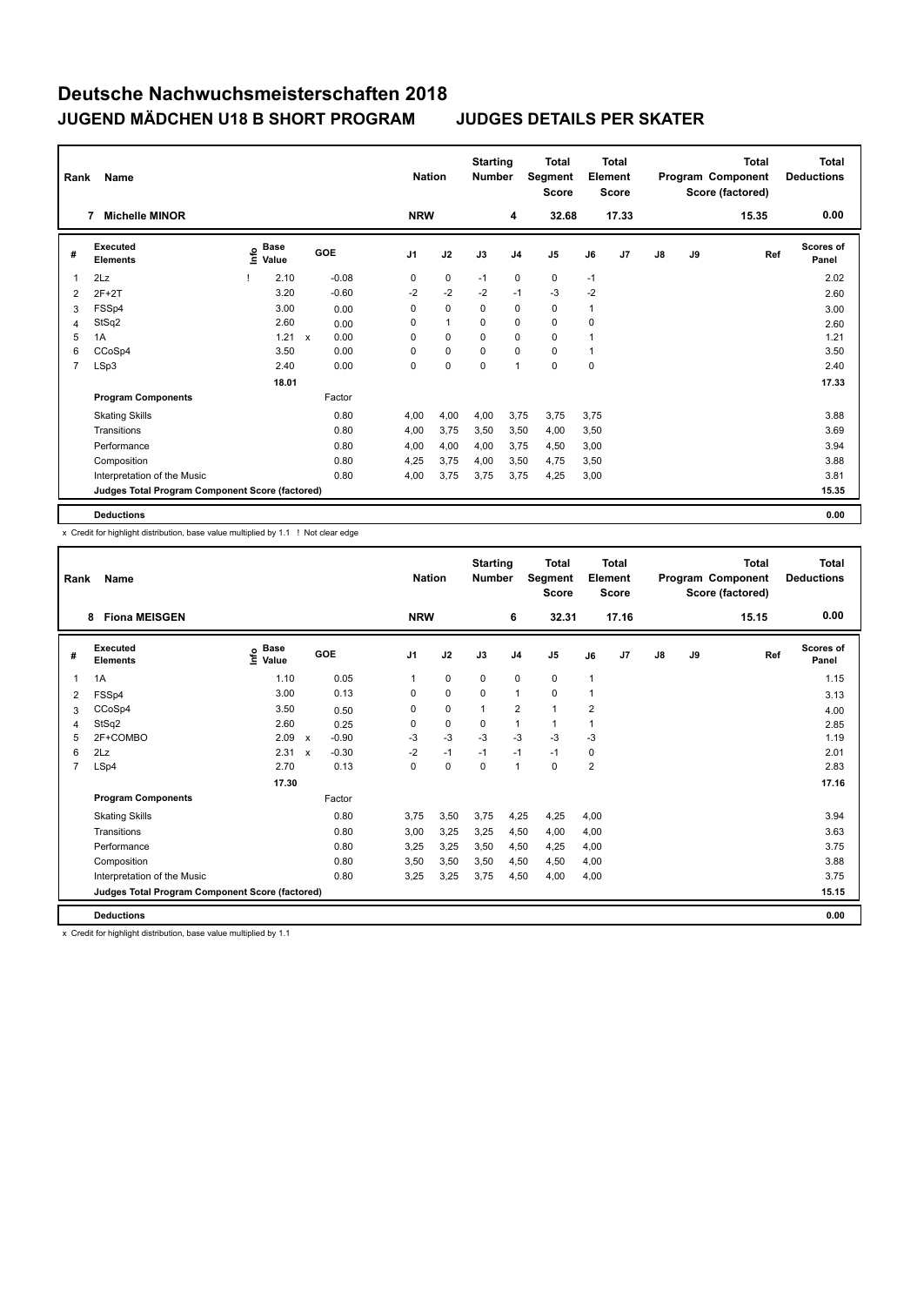| Rank           | Name                                            |      |                      |              |         |                | <b>Nation</b> | <b>Starting</b><br><b>Number</b> |                | Total<br>Segment<br><b>Score</b> |      | <b>Total</b><br>Element<br><b>Score</b> |               |    | <b>Total</b><br>Program Component<br>Score (factored) | <b>Total</b><br><b>Deductions</b> |
|----------------|-------------------------------------------------|------|----------------------|--------------|---------|----------------|---------------|----------------------------------|----------------|----------------------------------|------|-----------------------------------------|---------------|----|-------------------------------------------------------|-----------------------------------|
|                | <b>Michelle MINOR</b><br>7                      |      |                      |              |         | <b>NRW</b>     |               |                                  | 4              | 32.68                            |      | 17.33                                   |               |    | 15.35                                                 | 0.00                              |
| #              | Executed<br><b>Elements</b>                     | Info | <b>Base</b><br>Value |              | GOE     | J <sub>1</sub> | J2            | J3                               | J <sub>4</sub> | J <sub>5</sub>                   | J6   | J7                                      | $\mathsf{J}8$ | J9 | Ref                                                   | <b>Scores of</b><br>Panel         |
| 1              | 2Lz                                             |      | 2.10                 |              | $-0.08$ | 0              | 0             | $-1$                             | 0              | 0                                | $-1$ |                                         |               |    |                                                       | 2.02                              |
| 2              | $2F+2T$                                         |      | 3.20                 |              | $-0.60$ | $-2$           | $-2$          | $-2$                             | $-1$           | $-3$                             | $-2$ |                                         |               |    |                                                       | 2.60                              |
| 3              | FSSp4                                           |      | 3.00                 |              | 0.00    | 0              | $\mathbf 0$   | 0                                | 0              | 0                                | 1    |                                         |               |    |                                                       | 3.00                              |
| 4              | StSq2                                           |      | 2.60                 |              | 0.00    | $\Omega$       | $\mathbf{1}$  | $\Omega$                         | 0              | 0                                | 0    |                                         |               |    |                                                       | 2.60                              |
| 5              | 1A                                              |      | 1.21                 | $\mathsf{x}$ | 0.00    | $\Omega$       | $\mathbf 0$   | $\Omega$                         | 0              | 0                                | 1    |                                         |               |    |                                                       | 1.21                              |
| 6              | CCoSp4                                          |      | 3.50                 |              | 0.00    | 0              | 0             | $\Omega$                         | $\Omega$       | 0                                | 1    |                                         |               |    |                                                       | 3.50                              |
| $\overline{7}$ | LSp3                                            |      | 2.40                 |              | 0.00    | 0              | $\pmb{0}$     | $\mathbf 0$                      | $\mathbf{1}$   | $\mathbf 0$                      | 0    |                                         |               |    |                                                       | 2.40                              |
|                |                                                 |      | 18.01                |              |         |                |               |                                  |                |                                  |      |                                         |               |    |                                                       | 17.33                             |
|                | <b>Program Components</b>                       |      |                      |              | Factor  |                |               |                                  |                |                                  |      |                                         |               |    |                                                       |                                   |
|                | <b>Skating Skills</b>                           |      |                      |              | 0.80    | 4,00           | 4,00          | 4,00                             | 3,75           | 3,75                             | 3,75 |                                         |               |    |                                                       | 3.88                              |
|                | Transitions                                     |      |                      |              | 0.80    | 4,00           | 3,75          | 3,50                             | 3,50           | 4,00                             | 3,50 |                                         |               |    |                                                       | 3.69                              |
|                | Performance                                     |      |                      |              | 0.80    | 4,00           | 4,00          | 4,00                             | 3,75           | 4,50                             | 3,00 |                                         |               |    |                                                       | 3.94                              |
|                | Composition                                     |      |                      |              | 0.80    | 4,25           | 3,75          | 4,00                             | 3,50           | 4,75                             | 3,50 |                                         |               |    |                                                       | 3.88                              |
|                | Interpretation of the Music                     |      |                      |              | 0.80    | 4,00           | 3,75          | 3,75                             | 3,75           | 4,25                             | 3,00 |                                         |               |    |                                                       | 3.81                              |
|                | Judges Total Program Component Score (factored) |      |                      |              |         |                |               |                                  |                |                                  |      |                                         |               |    |                                                       | 15.35                             |
|                | <b>Deductions</b>                               |      |                      |              |         |                |               |                                  |                |                                  |      |                                         |               |    |                                                       | 0.00                              |

x Credit for highlight distribution, base value multiplied by 1.1 ! Not clear edge

| Rank           | Name                                            |                                  | <b>Nation</b> | <b>Starting</b><br><b>Number</b> |            | <b>Total</b><br>Segment<br><b>Score</b> |             | Total<br>Element<br><b>Score</b> |       |              | <b>Total</b><br>Program Component<br>Score (factored) | <b>Total</b><br><b>Deductions</b> |    |       |                           |
|----------------|-------------------------------------------------|----------------------------------|---------------|----------------------------------|------------|-----------------------------------------|-------------|----------------------------------|-------|--------------|-------------------------------------------------------|-----------------------------------|----|-------|---------------------------|
|                | <b>Fiona MEISGEN</b><br>8                       |                                  |               |                                  | <b>NRW</b> |                                         |             | 6                                | 32.31 |              | 17.16                                                 |                                   |    | 15.15 | 0.00                      |
| #              | <b>Executed</b><br><b>Elements</b>              | <b>Base</b><br>e Base<br>E Value |               | GOE                              | J1         | J2                                      | J3          | J <sub>4</sub>                   | J5    | J6           | J7                                                    | $\mathsf{J}8$                     | J9 | Ref   | <b>Scores of</b><br>Panel |
| 1              | 1A                                              | 1.10                             |               | 0.05                             |            | $\mathbf 0$                             | $\mathbf 0$ | 0                                | 0     | $\mathbf{1}$ |                                                       |                                   |    |       | 1.15                      |
| 2              | FSSp4                                           | 3.00                             |               | 0.13                             | 0          | $\mathbf 0$                             | $\mathbf 0$ | $\overline{1}$                   | 0     | 1            |                                                       |                                   |    |       | 3.13                      |
| 3              | CCoSp4                                          | 3.50                             |               | 0.50                             | 0          | $\mathbf 0$                             | 1           | $\overline{2}$                   | 1     | 2            |                                                       |                                   |    |       | 4.00                      |
| 4              | StSq2                                           | 2.60                             |               | 0.25                             | 0          | $\mathbf 0$                             | 0           | 1                                | 1     | 1            |                                                       |                                   |    |       | 2.85                      |
| 5              | 2F+COMBO                                        | 2.09                             | $\mathsf{x}$  | $-0.90$                          | $-3$       | $-3$                                    | $-3$        | $-3$                             | $-3$  | $-3$         |                                                       |                                   |    |       | 1.19                      |
| 6              | 2Lz                                             | 2.31                             | $\mathsf{x}$  | $-0.30$                          | $-2$       | $-1$                                    | $-1$        | $-1$                             | $-1$  | 0            |                                                       |                                   |    |       | 2.01                      |
| $\overline{7}$ | LSp4                                            | 2.70                             |               | 0.13                             | 0          | $\mathbf 0$                             | 0           | $\mathbf{1}$                     | 0     | 2            |                                                       |                                   |    |       | 2.83                      |
|                |                                                 | 17.30                            |               |                                  |            |                                         |             |                                  |       |              |                                                       |                                   |    |       | 17.16                     |
|                | <b>Program Components</b>                       |                                  |               | Factor                           |            |                                         |             |                                  |       |              |                                                       |                                   |    |       |                           |
|                | <b>Skating Skills</b>                           |                                  |               | 0.80                             | 3.75       | 3,50                                    | 3,75        | 4,25                             | 4,25  | 4,00         |                                                       |                                   |    |       | 3.94                      |
|                | Transitions                                     |                                  |               | 0.80                             | 3,00       | 3,25                                    | 3,25        | 4,50                             | 4,00  | 4,00         |                                                       |                                   |    |       | 3.63                      |
|                | Performance                                     |                                  |               | 0.80                             | 3,25       | 3,25                                    | 3,50        | 4,50                             | 4,25  | 4,00         |                                                       |                                   |    |       | 3.75                      |
|                | Composition                                     |                                  |               | 0.80                             | 3,50       | 3,50                                    | 3,50        | 4,50                             | 4,50  | 4,00         |                                                       |                                   |    |       | 3.88                      |
|                | Interpretation of the Music                     |                                  |               | 0.80                             | 3,25       | 3,25                                    | 3,75        | 4,50                             | 4,00  | 4,00         |                                                       |                                   |    |       | 3.75                      |
|                | Judges Total Program Component Score (factored) |                                  |               |                                  |            |                                         |             |                                  |       |              |                                                       |                                   |    |       | 15.15                     |
|                | <b>Deductions</b>                               |                                  |               |                                  |            |                                         |             |                                  |       |              |                                                       |                                   |    |       | 0.00                      |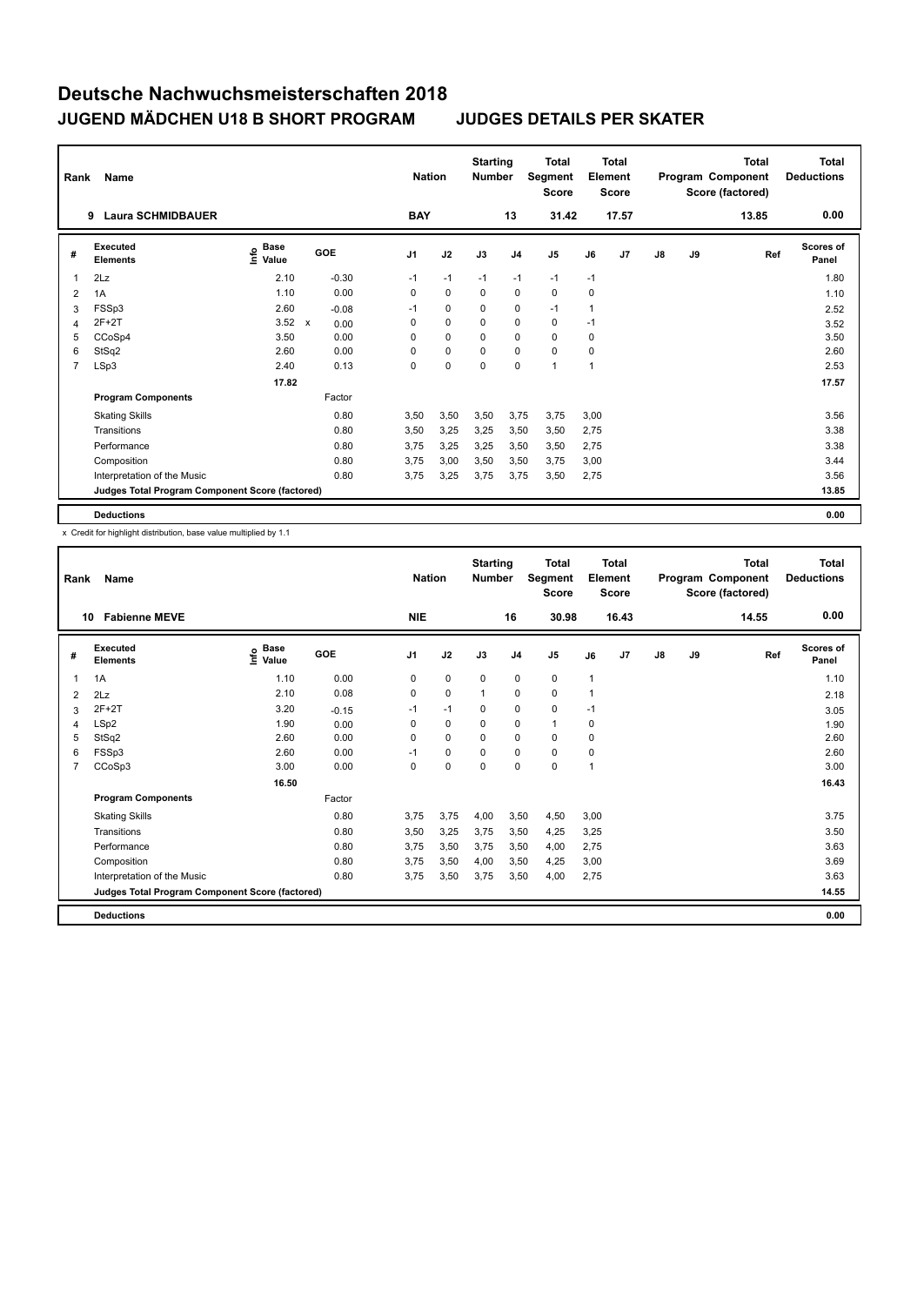| Rank           | Name                                            |                              |              |         |                | <b>Nation</b> | <b>Starting</b><br><b>Number</b> |                | Total<br>Segment<br><b>Score</b> |      | <b>Total</b><br>Element<br><b>Score</b> |               |    | <b>Total</b><br>Program Component<br>Score (factored) | <b>Total</b><br><b>Deductions</b> |
|----------------|-------------------------------------------------|------------------------------|--------------|---------|----------------|---------------|----------------------------------|----------------|----------------------------------|------|-----------------------------------------|---------------|----|-------------------------------------------------------|-----------------------------------|
|                | <b>Laura SCHMIDBAUER</b><br>9                   |                              |              |         | <b>BAY</b>     |               |                                  | 13             | 31.42                            |      | 17.57                                   |               |    | 13.85                                                 | 0.00                              |
| #              | Executed<br><b>Elements</b>                     | <b>Base</b><br>lnfo<br>Value |              | GOE     | J <sub>1</sub> | J2            | J3                               | J <sub>4</sub> | J <sub>5</sub>                   | J6   | J <sub>7</sub>                          | $\mathsf{J}8$ | J9 | Ref                                                   | <b>Scores of</b><br>Panel         |
| 1              | 2Lz                                             | 2.10                         |              | $-0.30$ | $-1$           | $-1$          | $-1$                             | $-1$           | $-1$                             | $-1$ |                                         |               |    |                                                       | 1.80                              |
| 2              | 1A                                              | 1.10                         |              | 0.00    | $\Omega$       | $\Omega$      | $\Omega$                         | $\mathbf 0$    | 0                                | 0    |                                         |               |    |                                                       | 1.10                              |
| 3              | FSSp3                                           | 2.60                         |              | $-0.08$ | $-1$           | $\mathbf 0$   | 0                                | 0              | $-1$                             | 1    |                                         |               |    |                                                       | 2.52                              |
| 4              | 2F+2T                                           | 3.52                         | $\mathsf{x}$ | 0.00    | 0              | $\mathbf 0$   | 0                                | 0              | 0                                | $-1$ |                                         |               |    |                                                       | 3.52                              |
| 5              | CCoSp4                                          | 3.50                         |              | 0.00    | 0              | $\mathbf 0$   | $\Omega$                         | 0              | $\Omega$                         | 0    |                                         |               |    |                                                       | 3.50                              |
| 6              | StSq2                                           | 2.60                         |              | 0.00    | $\Omega$       | 0             | 0                                | 0              | $\Omega$                         | 0    |                                         |               |    |                                                       | 2.60                              |
| $\overline{7}$ | LSp3                                            | 2.40                         |              | 0.13    | 0              | $\mathbf 0$   | $\mathbf 0$                      | $\mathbf 0$    | 1                                | 1    |                                         |               |    |                                                       | 2.53                              |
|                |                                                 | 17.82                        |              |         |                |               |                                  |                |                                  |      |                                         |               |    |                                                       | 17.57                             |
|                | <b>Program Components</b>                       |                              |              | Factor  |                |               |                                  |                |                                  |      |                                         |               |    |                                                       |                                   |
|                | <b>Skating Skills</b>                           |                              |              | 0.80    | 3,50           | 3,50          | 3,50                             | 3,75           | 3,75                             | 3.00 |                                         |               |    |                                                       | 3.56                              |
|                | Transitions                                     |                              |              | 0.80    | 3,50           | 3,25          | 3,25                             | 3,50           | 3,50                             | 2,75 |                                         |               |    |                                                       | 3.38                              |
|                | Performance                                     |                              |              | 0.80    | 3.75           | 3,25          | 3,25                             | 3,50           | 3,50                             | 2,75 |                                         |               |    |                                                       | 3.38                              |
|                | Composition                                     |                              |              | 0.80    | 3.75           | 3,00          | 3,50                             | 3,50           | 3,75                             | 3,00 |                                         |               |    |                                                       | 3.44                              |
|                | Interpretation of the Music                     |                              |              | 0.80    | 3,75           | 3,25          | 3,75                             | 3,75           | 3,50                             | 2,75 |                                         |               |    |                                                       | 3.56                              |
|                | Judges Total Program Component Score (factored) |                              |              |         |                |               |                                  |                |                                  |      |                                         |               |    |                                                       | 13.85                             |
|                | <b>Deductions</b>                               |                              |              |         |                |               |                                  |                |                                  |      |                                         |               |    |                                                       | 0.00                              |

| Rank | Name                                            | <b>Nation</b>                           |         | <b>Starting</b><br><b>Number</b> |             | <b>Total</b><br>Segment<br><b>Score</b> |                | <b>Total</b><br>Element<br><b>Score</b> |              |                | Total<br>Program Component<br>Score (factored) | <b>Total</b><br><b>Deductions</b> |       |                           |
|------|-------------------------------------------------|-----------------------------------------|---------|----------------------------------|-------------|-----------------------------------------|----------------|-----------------------------------------|--------------|----------------|------------------------------------------------|-----------------------------------|-------|---------------------------|
| 10   | <b>Fabienne MEVE</b>                            |                                         |         | <b>NIE</b>                       |             |                                         | 16             | 30.98                                   |              | 16.43          |                                                |                                   | 14.55 | 0.00                      |
| #    | Executed<br><b>Elements</b>                     | $\mathbf{e}$ Base<br>$\mathbf{e}$ Value | GOE     | J <sub>1</sub>                   | J2          | J3                                      | J <sub>4</sub> | J5                                      | J6           | J <sub>7</sub> | $\mathsf{J}8$                                  | J9                                | Ref   | <b>Scores of</b><br>Panel |
| 1    | 1A                                              | 1.10                                    | 0.00    | 0                                | $\mathbf 0$ | $\mathbf 0$                             | 0              | 0                                       | $\mathbf{1}$ |                |                                                |                                   |       | 1.10                      |
| 2    | 2Lz                                             | 2.10                                    | 0.08    | $\mathbf 0$                      | $\mathbf 0$ | $\mathbf 1$                             | $\mathbf 0$    | 0                                       | 1            |                |                                                |                                   |       | 2.18                      |
| 3    | $2F+2T$                                         | 3.20                                    | $-0.15$ | $-1$                             | $-1$        | 0                                       | 0              | 0                                       | $-1$         |                |                                                |                                   |       | 3.05                      |
| 4    | LSp2                                            | 1.90                                    | 0.00    | $\Omega$                         | $\Omega$    | $\Omega$                                | 0              | $\mathbf{1}$                            | 0            |                |                                                |                                   |       | 1.90                      |
| 5    | StSq2                                           | 2.60                                    | 0.00    | 0                                | $\mathbf 0$ | $\Omega$                                | $\mathbf 0$    | 0                                       | 0            |                |                                                |                                   |       | 2.60                      |
| 6    | FSSp3                                           | 2.60                                    | 0.00    | $-1$                             | $\mathbf 0$ | $\Omega$                                | $\mathbf 0$    | 0                                       | 0            |                |                                                |                                   |       | 2.60                      |
| 7    | CCoSp3                                          | 3.00                                    | 0.00    | $\Omega$                         | 0           | $\Omega$                                | 0              | 0                                       | 1            |                |                                                |                                   |       | 3.00                      |
|      |                                                 | 16.50                                   |         |                                  |             |                                         |                |                                         |              |                |                                                |                                   |       | 16.43                     |
|      | <b>Program Components</b>                       |                                         | Factor  |                                  |             |                                         |                |                                         |              |                |                                                |                                   |       |                           |
|      | <b>Skating Skills</b>                           |                                         | 0.80    | 3.75                             | 3.75        | 4,00                                    | 3,50           | 4,50                                    | 3.00         |                |                                                |                                   |       | 3.75                      |
|      | Transitions                                     |                                         | 0.80    | 3,50                             | 3,25        | 3,75                                    | 3,50           | 4,25                                    | 3,25         |                |                                                |                                   |       | 3.50                      |
|      | Performance                                     |                                         | 0.80    | 3,75                             | 3,50        | 3,75                                    | 3,50           | 4,00                                    | 2,75         |                |                                                |                                   |       | 3.63                      |
|      | Composition                                     |                                         | 0.80    | 3.75                             | 3,50        | 4,00                                    | 3,50           | 4,25                                    | 3,00         |                |                                                |                                   |       | 3.69                      |
|      | Interpretation of the Music                     |                                         | 0.80    | 3.75                             | 3,50        | 3,75                                    | 3,50           | 4,00                                    | 2,75         |                |                                                |                                   |       | 3.63                      |
|      | Judges Total Program Component Score (factored) |                                         |         |                                  |             |                                         |                |                                         |              |                |                                                |                                   |       | 14.55                     |
|      | <b>Deductions</b>                               |                                         |         |                                  |             |                                         |                |                                         |              |                |                                                |                                   |       | 0.00                      |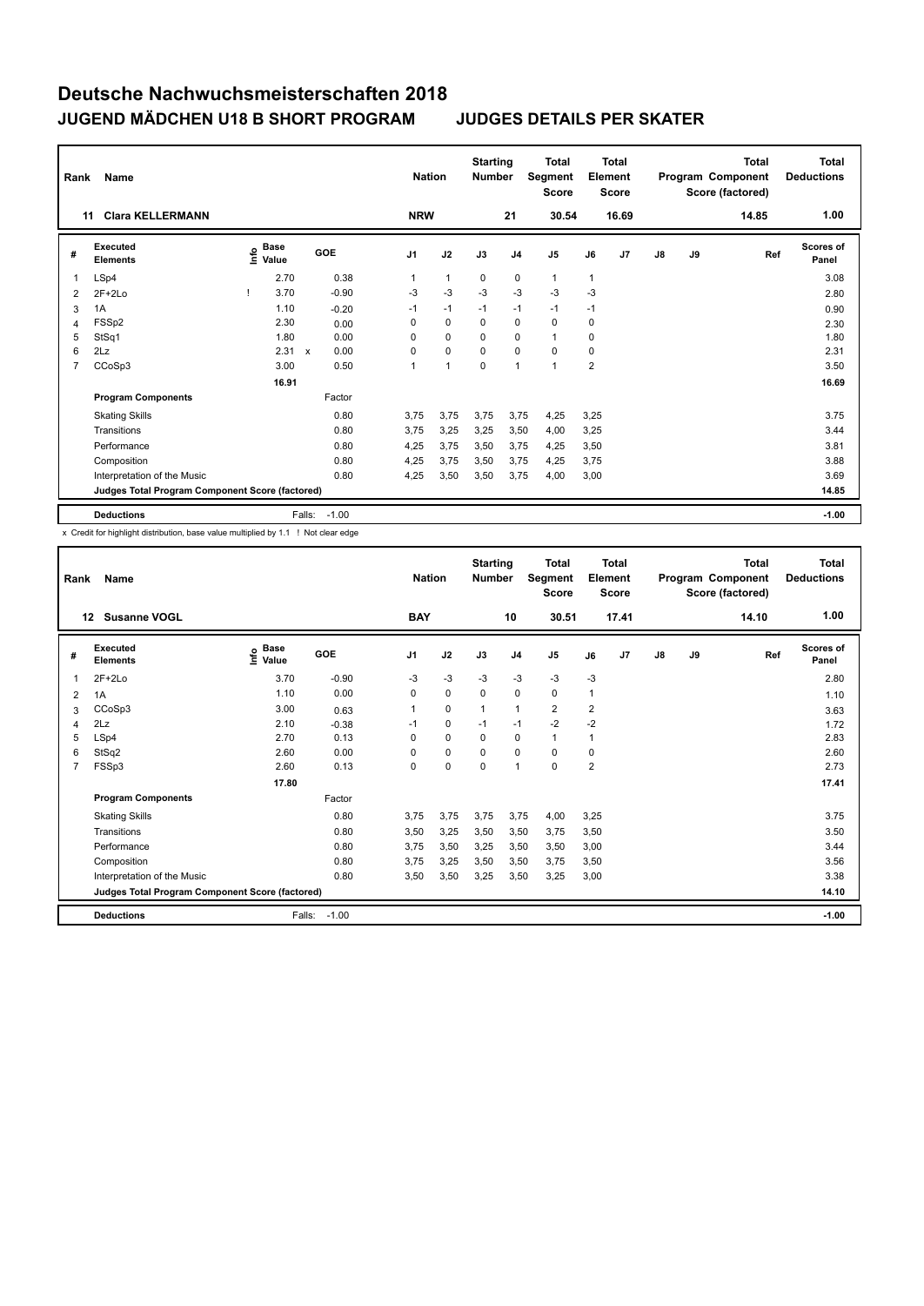| Rank | Name                                            |                                  |                           |         |                | <b>Nation</b>  | <b>Starting</b><br><b>Number</b> |                | <b>Total</b><br>Segment<br><b>Score</b> |                | <b>Total</b><br>Element<br><b>Score</b> |    |    | <b>Total</b><br>Program Component<br>Score (factored) | <b>Total</b><br><b>Deductions</b> |
|------|-------------------------------------------------|----------------------------------|---------------------------|---------|----------------|----------------|----------------------------------|----------------|-----------------------------------------|----------------|-----------------------------------------|----|----|-------------------------------------------------------|-----------------------------------|
|      | <b>Clara KELLERMANN</b><br>11                   |                                  |                           |         | <b>NRW</b>     |                |                                  | 21             | 30.54                                   |                | 16.69                                   |    |    | 14.85                                                 | 1.00                              |
| #    | Executed<br><b>Elements</b>                     | <b>Base</b><br>o Base<br>⊆ Value |                           | GOE     | J <sub>1</sub> | J2             | J3                               | J <sub>4</sub> | J <sub>5</sub>                          | J6             | J <sub>7</sub>                          | J8 | J9 | Ref                                                   | <b>Scores of</b><br>Panel         |
| 1    | LSp4                                            | 2.70                             |                           | 0.38    | 1              | $\mathbf{1}$   | $\mathbf 0$                      | $\mathbf 0$    | $\mathbf{1}$                            | $\mathbf{1}$   |                                         |    |    |                                                       | 3.08                              |
| 2    | $2F+2Lo$                                        | 3.70                             |                           | $-0.90$ | $-3$           | $-3$           | $-3$                             | $-3$           | $-3$                                    | $-3$           |                                         |    |    |                                                       | 2.80                              |
| 3    | 1A                                              | 1.10                             |                           | $-0.20$ | $-1$           | $-1$           | $-1$                             | $-1$           | $-1$                                    | $-1$           |                                         |    |    |                                                       | 0.90                              |
| 4    | FSSp2                                           | 2.30                             |                           | 0.00    | $\Omega$       | $\mathbf 0$    | $\mathbf 0$                      | $\mathbf 0$    | $\Omega$                                | 0              |                                         |    |    |                                                       | 2.30                              |
| 5    | StSq1                                           | 1.80                             |                           | 0.00    | 0              | $\mathbf 0$    | 0                                | $\mathbf 0$    | $\mathbf{1}$                            | 0              |                                         |    |    |                                                       | 1.80                              |
| 6    | 2Lz                                             | 2.31                             | $\boldsymbol{\mathsf{x}}$ | 0.00    | 0              | $\mathbf 0$    | 0                                | 0              | $\mathbf 0$                             | 0              |                                         |    |    |                                                       | 2.31                              |
| 7    | CCoSp3                                          | 3.00                             |                           | 0.50    | 1              | $\overline{1}$ | $\mathbf 0$                      | $\overline{1}$ | $\mathbf{1}$                            | $\overline{2}$ |                                         |    |    |                                                       | 3.50                              |
|      |                                                 | 16.91                            |                           |         |                |                |                                  |                |                                         |                |                                         |    |    |                                                       | 16.69                             |
|      | <b>Program Components</b>                       |                                  |                           | Factor  |                |                |                                  |                |                                         |                |                                         |    |    |                                                       |                                   |
|      | <b>Skating Skills</b>                           |                                  |                           | 0.80    | 3.75           | 3.75           | 3.75                             | 3.75           | 4,25                                    | 3,25           |                                         |    |    |                                                       | 3.75                              |
|      | Transitions                                     |                                  |                           | 0.80    | 3.75           | 3.25           | 3.25                             | 3,50           | 4,00                                    | 3,25           |                                         |    |    |                                                       | 3.44                              |
|      | Performance                                     |                                  |                           | 0.80    | 4,25           | 3,75           | 3,50                             | 3,75           | 4,25                                    | 3,50           |                                         |    |    |                                                       | 3.81                              |
|      | Composition                                     |                                  |                           | 0.80    | 4,25           | 3,75           | 3,50                             | 3,75           | 4,25                                    | 3,75           |                                         |    |    |                                                       | 3.88                              |
|      | Interpretation of the Music                     |                                  |                           | 0.80    | 4,25           | 3,50           | 3,50                             | 3,75           | 4,00                                    | 3,00           |                                         |    |    |                                                       | 3.69                              |
|      | Judges Total Program Component Score (factored) |                                  |                           |         |                |                |                                  |                |                                         |                |                                         |    |    |                                                       | 14.85                             |
|      | <b>Deductions</b>                               |                                  | Falls:                    | $-1.00$ |                |                |                                  |                |                                         |                |                                         |    |    |                                                       | $-1.00$                           |

x Credit for highlight distribution, base value multiplied by 1.1 ! Not clear edge

| Rank           | Name                                            |                                           |            | <b>Nation</b>  |             | <b>Starting</b><br><b>Number</b> |                | <b>Total</b><br>Segment<br><b>Score</b> |                | <b>Total</b><br>Element<br><b>Score</b> |               |    | <b>Total</b><br>Program Component<br>Score (factored) | <b>Total</b><br><b>Deductions</b> |
|----------------|-------------------------------------------------|-------------------------------------------|------------|----------------|-------------|----------------------------------|----------------|-----------------------------------------|----------------|-----------------------------------------|---------------|----|-------------------------------------------------------|-----------------------------------|
|                | <b>Susanne VOGL</b><br>12 <sup>12</sup>         |                                           |            | <b>BAY</b>     |             |                                  | 10             | 30.51                                   |                | 17.41                                   |               |    | 14.10                                                 | 1.00                              |
| #              | Executed<br><b>Elements</b>                     | $\frac{6}{5}$ Base<br>$\frac{1}{5}$ Value | <b>GOE</b> | J <sub>1</sub> | J2          | J3                               | J <sub>4</sub> | J5                                      | J6             | J7                                      | $\mathsf{J}8$ | J9 | Ref                                                   | <b>Scores of</b><br>Panel         |
| 1              | $2F+2Lo$                                        | 3.70                                      | $-0.90$    | $-3$           | $-3$        | $-3$                             | $-3$           | $-3$                                    | $-3$           |                                         |               |    |                                                       | 2.80                              |
| 2              | 1A                                              | 1.10                                      | 0.00       | 0              | $\mathbf 0$ | $\Omega$                         | 0              | 0                                       | 1              |                                         |               |    |                                                       | 1.10                              |
| 3              | CCoSp3                                          | 3.00                                      | 0.63       | 1              | 0           | 1                                | $\mathbf{1}$   | $\overline{\mathbf{c}}$                 | 2              |                                         |               |    |                                                       | 3.63                              |
| $\overline{4}$ | 2Lz                                             | 2.10                                      | $-0.38$    | $-1$           | 0           | $-1$                             | $-1$           | $-2$                                    | $-2$           |                                         |               |    |                                                       | 1.72                              |
| 5              | LSp4                                            | 2.70                                      | 0.13       | $\Omega$       | $\mathbf 0$ | $\Omega$                         | $\Omega$       | 1                                       | 1              |                                         |               |    |                                                       | 2.83                              |
| 6              | StSq2                                           | 2.60                                      | 0.00       | 0              | $\pmb{0}$   | 0                                | $\mathbf 0$    | 0                                       | 0              |                                         |               |    |                                                       | 2.60                              |
| $\overline{7}$ | FSSp3                                           | 2.60                                      | 0.13       | 0              | 0           | $\Omega$                         | $\mathbf{1}$   | 0                                       | $\overline{2}$ |                                         |               |    |                                                       | 2.73                              |
|                |                                                 | 17.80                                     |            |                |             |                                  |                |                                         |                |                                         |               |    |                                                       | 17.41                             |
|                | <b>Program Components</b>                       |                                           | Factor     |                |             |                                  |                |                                         |                |                                         |               |    |                                                       |                                   |
|                | <b>Skating Skills</b>                           |                                           | 0.80       | 3,75           | 3,75        | 3,75                             | 3,75           | 4,00                                    | 3,25           |                                         |               |    |                                                       | 3.75                              |
|                | Transitions                                     |                                           | 0.80       | 3,50           | 3,25        | 3,50                             | 3,50           | 3,75                                    | 3,50           |                                         |               |    |                                                       | 3.50                              |
|                | Performance                                     |                                           | 0.80       | 3,75           | 3,50        | 3,25                             | 3,50           | 3,50                                    | 3,00           |                                         |               |    |                                                       | 3.44                              |
|                | Composition                                     |                                           | 0.80       | 3,75           | 3,25        | 3,50                             | 3,50           | 3,75                                    | 3,50           |                                         |               |    |                                                       | 3.56                              |
|                | Interpretation of the Music                     |                                           | 0.80       | 3,50           | 3,50        | 3,25                             | 3,50           | 3,25                                    | 3,00           |                                         |               |    |                                                       | 3.38                              |
|                | Judges Total Program Component Score (factored) |                                           |            |                |             |                                  |                |                                         |                |                                         |               |    |                                                       | 14.10                             |
|                | <b>Deductions</b>                               | Falls:                                    | $-1.00$    |                |             |                                  |                |                                         |                |                                         |               |    |                                                       | $-1.00$                           |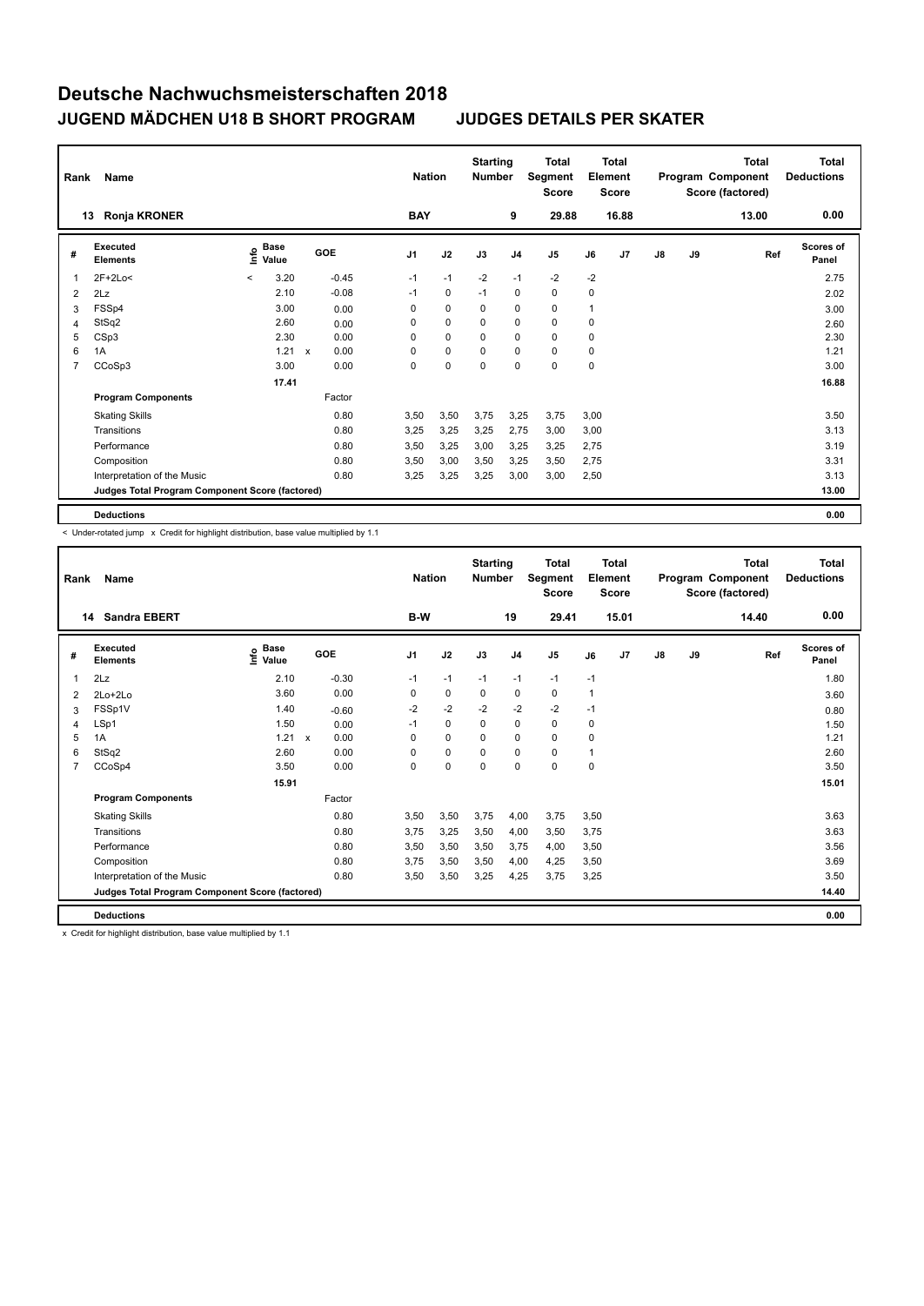| Rank | Name                                            |         |                      |             |         | <b>Nation</b>  |             | <b>Starting</b><br><b>Number</b> |                | <b>Total</b><br>Segment<br><b>Score</b> |      | <b>Total</b><br>Element<br><b>Score</b> |    |    | <b>Total</b><br>Program Component<br>Score (factored) | <b>Total</b><br><b>Deductions</b> |
|------|-------------------------------------------------|---------|----------------------|-------------|---------|----------------|-------------|----------------------------------|----------------|-----------------------------------------|------|-----------------------------------------|----|----|-------------------------------------------------------|-----------------------------------|
|      | Ronja KRONER<br>13                              |         |                      |             |         | <b>BAY</b>     |             |                                  | 9              | 29.88                                   |      | 16.88                                   |    |    | 13.00                                                 | 0.00                              |
| #    | <b>Executed</b><br><b>Elements</b>              | ۴٥      | <b>Base</b><br>Value |             | GOE     | J <sub>1</sub> | J2          | J3                               | J <sub>4</sub> | J <sub>5</sub>                          | J6   | J7                                      | J8 | J9 | Ref                                                   | <b>Scores of</b><br>Panel         |
| 1    | $2F+2Lo<$                                       | $\,<\,$ | 3.20                 |             | $-0.45$ | $-1$           | $-1$        | $-2$                             | $-1$           | $-2$                                    | $-2$ |                                         |    |    |                                                       | 2.75                              |
| 2    | 2Lz                                             |         | 2.10                 |             | $-0.08$ | $-1$           | 0           | $-1$                             | 0              | 0                                       | 0    |                                         |    |    |                                                       | 2.02                              |
| 3    | FSSp4                                           |         | 3.00                 |             | 0.00    | 0              | $\mathbf 0$ | $\mathbf 0$                      | $\mathbf 0$    | $\mathbf 0$                             |      |                                         |    |    |                                                       | 3.00                              |
| 4    | StSq2                                           |         | 2.60                 |             | 0.00    | 0              | $\mathbf 0$ | 0                                | $\mathbf 0$    | $\mathbf 0$                             | 0    |                                         |    |    |                                                       | 2.60                              |
| 5    | CSp3                                            |         | 2.30                 |             | 0.00    | 0              | $\mathbf 0$ | $\Omega$                         | $\mathbf 0$    | $\mathbf 0$                             | 0    |                                         |    |    |                                                       | 2.30                              |
| 6    | 1A                                              |         | 1.21                 | $\mathbf x$ | 0.00    | 0              | $\mathbf 0$ | $\Omega$                         | $\mathbf 0$    | 0                                       | 0    |                                         |    |    |                                                       | 1.21                              |
| 7    | CCoSp3                                          |         | 3.00                 |             | 0.00    | 0              | $\mathbf 0$ | $\mathbf 0$                      | $\mathbf 0$    | $\mathbf 0$                             | 0    |                                         |    |    |                                                       | 3.00                              |
|      |                                                 |         | 17.41                |             |         |                |             |                                  |                |                                         |      |                                         |    |    |                                                       | 16.88                             |
|      | <b>Program Components</b>                       |         |                      |             | Factor  |                |             |                                  |                |                                         |      |                                         |    |    |                                                       |                                   |
|      | <b>Skating Skills</b>                           |         |                      |             | 0.80    | 3,50           | 3,50        | 3,75                             | 3,25           | 3,75                                    | 3,00 |                                         |    |    |                                                       | 3.50                              |
|      | Transitions                                     |         |                      |             | 0.80    | 3,25           | 3,25        | 3,25                             | 2,75           | 3,00                                    | 3,00 |                                         |    |    |                                                       | 3.13                              |
|      | Performance                                     |         |                      |             | 0.80    | 3,50           | 3,25        | 3,00                             | 3,25           | 3,25                                    | 2,75 |                                         |    |    |                                                       | 3.19                              |
|      | Composition                                     |         |                      |             | 0.80    | 3,50           | 3,00        | 3,50                             | 3,25           | 3,50                                    | 2,75 |                                         |    |    |                                                       | 3.31                              |
|      | Interpretation of the Music                     |         |                      |             | 0.80    | 3,25           | 3,25        | 3,25                             | 3,00           | 3,00                                    | 2,50 |                                         |    |    |                                                       | 3.13                              |
|      | Judges Total Program Component Score (factored) |         |                      |             |         |                |             |                                  |                |                                         |      |                                         |    |    |                                                       | 13.00                             |
|      | <b>Deductions</b>                               |         |                      |             |         |                |             |                                  |                |                                         |      |                                         |    |    |                                                       | 0.00                              |

< Under-rotated jump x Credit for highlight distribution, base value multiplied by 1.1

| Rank           | Name                                            |                           |                      | <b>Nation</b>  | <b>Starting</b><br><b>Number</b> |             | <b>Total</b><br>Segment<br><b>Score</b> |                | <b>Total</b><br>Element<br><b>Score</b> |       |               | <b>Total</b><br>Program Component<br>Score (factored) | <b>Total</b><br><b>Deductions</b> |                           |
|----------------|-------------------------------------------------|---------------------------|----------------------|----------------|----------------------------------|-------------|-----------------------------------------|----------------|-----------------------------------------|-------|---------------|-------------------------------------------------------|-----------------------------------|---------------------------|
|                | <b>Sandra EBERT</b><br>14                       |                           |                      | B-W            |                                  |             | 19                                      | 29.41          |                                         | 15.01 |               |                                                       | 14.40                             | 0.00                      |
| #              | Executed<br><b>Elements</b>                     | Base<br>e Base<br>⊆ Value | GOE                  | J <sub>1</sub> | J2                               | J3          | J <sub>4</sub>                          | J <sub>5</sub> | J6                                      | J7    | $\mathsf{J}8$ | J9                                                    | Ref                               | <b>Scores of</b><br>Panel |
| 1              | 2Lz                                             | 2.10                      | $-0.30$              | $-1$           | $-1$                             | $-1$        | $-1$                                    | $-1$           | $-1$                                    |       |               |                                                       |                                   | 1.80                      |
| 2              | 2Lo+2Lo                                         | 3.60                      | 0.00                 | 0              | $\mathbf 0$                      | 0           | $\mathbf 0$                             | $\mathbf 0$    | $\mathbf 1$                             |       |               |                                                       |                                   | 3.60                      |
| 3              | FSSp1V                                          | 1.40                      | $-0.60$              | $-2$           | $-2$                             | $-2$        | $-2$                                    | $-2$           | $-1$                                    |       |               |                                                       |                                   | 0.80                      |
| 4              | LSp1                                            | 1.50                      | 0.00                 | $-1$           | $\Omega$                         | $\Omega$    | $\mathbf 0$                             | $\Omega$       | 0                                       |       |               |                                                       |                                   | 1.50                      |
| 5              | 1A                                              | 1.21                      | 0.00<br>$\mathsf{x}$ | 0              | $\mathbf 0$                      | $\mathbf 0$ | $\mathbf 0$                             | 0              | 0                                       |       |               |                                                       |                                   | 1.21                      |
| 6              | StSq2                                           | 2.60                      | 0.00                 | $\Omega$       | $\mathbf 0$                      | 0           | $\mathbf 0$                             | 0              | 1                                       |       |               |                                                       |                                   | 2.60                      |
| $\overline{7}$ | CCoSp4                                          | 3.50                      | 0.00                 | 0              | $\pmb{0}$                        | 0           | $\mathbf 0$                             | 0              | 0                                       |       |               |                                                       |                                   | 3.50                      |
|                |                                                 | 15.91                     |                      |                |                                  |             |                                         |                |                                         |       |               |                                                       |                                   | 15.01                     |
|                | <b>Program Components</b>                       |                           | Factor               |                |                                  |             |                                         |                |                                         |       |               |                                                       |                                   |                           |
|                | <b>Skating Skills</b>                           |                           | 0.80                 | 3,50           | 3,50                             | 3,75        | 4,00                                    | 3,75           | 3,50                                    |       |               |                                                       |                                   | 3.63                      |
|                | Transitions                                     |                           | 0.80                 | 3.75           | 3,25                             | 3,50        | 4,00                                    | 3,50           | 3.75                                    |       |               |                                                       |                                   | 3.63                      |
|                | Performance                                     |                           | 0.80                 | 3,50           | 3,50                             | 3,50        | 3,75                                    | 4,00           | 3,50                                    |       |               |                                                       |                                   | 3.56                      |
|                | Composition                                     |                           | 0.80                 | 3.75           | 3,50                             | 3,50        | 4,00                                    | 4,25           | 3,50                                    |       |               |                                                       |                                   | 3.69                      |
|                | Interpretation of the Music                     |                           | 0.80                 | 3,50           | 3,50                             | 3,25        | 4,25                                    | 3,75           | 3,25                                    |       |               |                                                       |                                   | 3.50                      |
|                | Judges Total Program Component Score (factored) |                           |                      |                |                                  |             |                                         |                |                                         |       |               |                                                       |                                   | 14.40                     |
|                | <b>Deductions</b>                               |                           |                      |                |                                  |             |                                         |                |                                         |       |               |                                                       |                                   | 0.00                      |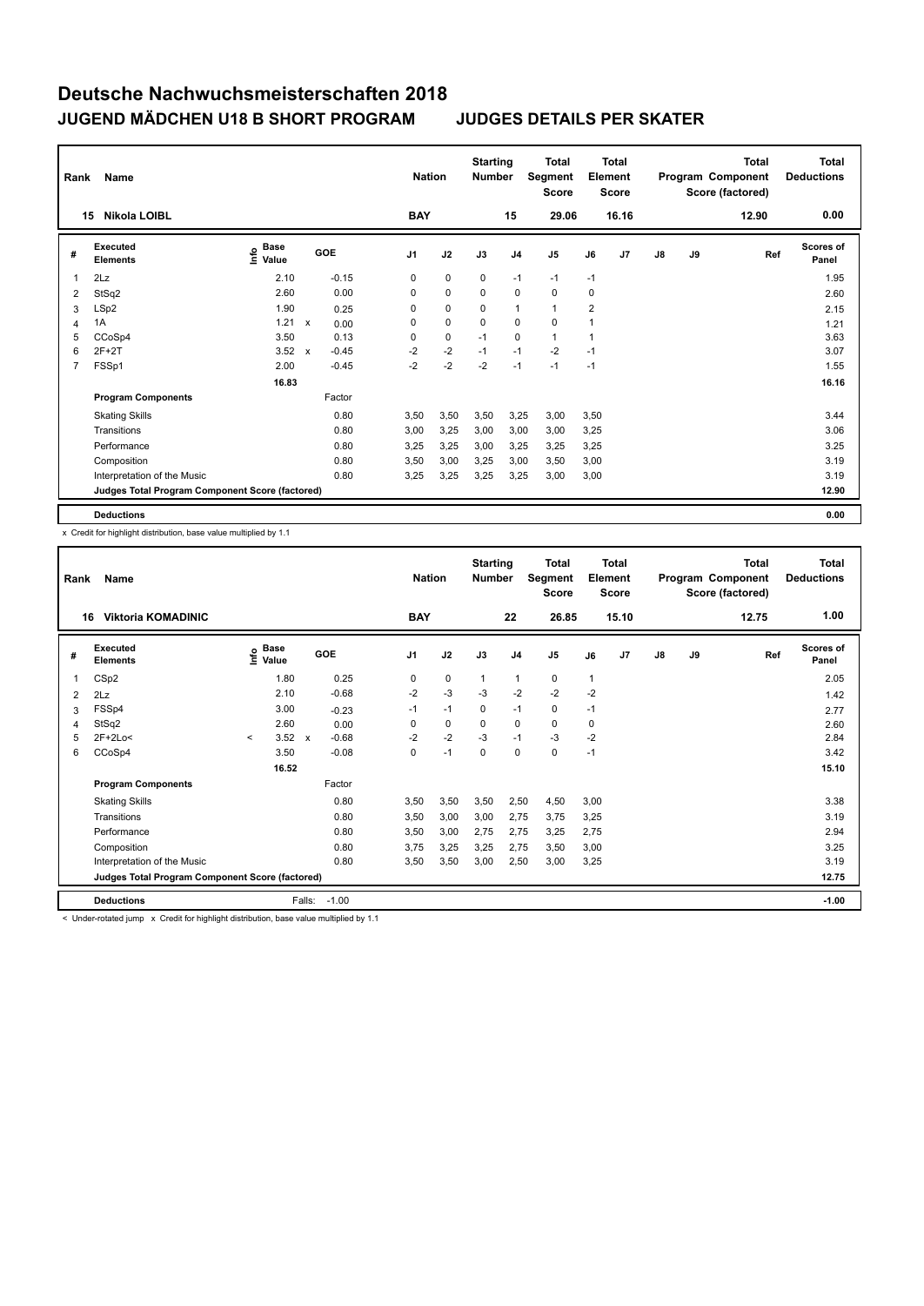| Rank | Name                                            |                           |                           |         |                | <b>Nation</b> | <b>Starting</b><br><b>Number</b> |                | <b>Total</b><br>Segment<br><b>Score</b> |                | <b>Total</b><br>Element<br><b>Score</b> |    |    | <b>Total</b><br>Program Component<br>Score (factored) | <b>Total</b><br><b>Deductions</b> |
|------|-------------------------------------------------|---------------------------|---------------------------|---------|----------------|---------------|----------------------------------|----------------|-----------------------------------------|----------------|-----------------------------------------|----|----|-------------------------------------------------------|-----------------------------------|
|      | <b>Nikola LOIBL</b><br>15                       |                           |                           |         | <b>BAY</b>     |               |                                  | 15             | 29.06                                   |                | 16.16                                   |    |    | 12.90                                                 | 0.00                              |
| #    | <b>Executed</b><br><b>Elements</b>              | Base<br>o Base<br>⊆ Value |                           | GOE     | J <sub>1</sub> | J2            | J3                               | J <sub>4</sub> | J <sub>5</sub>                          | J6             | J7                                      | J8 | J9 | Ref                                                   | <b>Scores of</b><br>Panel         |
| 1    | 2Lz                                             | 2.10                      |                           | $-0.15$ | 0              | $\mathbf 0$   | $\mathbf 0$                      | $-1$           | $-1$                                    | $-1$           |                                         |    |    |                                                       | 1.95                              |
| 2    | StSq2                                           | 2.60                      |                           | 0.00    | $\Omega$       | 0             | $\Omega$                         | 0              | 0                                       | 0              |                                         |    |    |                                                       | 2.60                              |
| 3    | LSp2                                            | 1.90                      |                           | 0.25    | 0              | $\mathbf 0$   | $\mathbf 0$                      | $\overline{1}$ | $\mathbf{1}$                            | $\overline{2}$ |                                         |    |    |                                                       | 2.15                              |
| 4    | 1A                                              | 1.21                      | $\boldsymbol{\mathsf{x}}$ | 0.00    | 0              | $\mathbf 0$   | 0                                | $\mathbf 0$    | $\mathbf 0$                             |                |                                         |    |    |                                                       | 1.21                              |
| 5    | CCoSp4                                          | 3.50                      |                           | 0.13    | 0              | $\mathbf 0$   | $-1$                             | $\mathbf 0$    | $\mathbf{1}$                            | 1              |                                         |    |    |                                                       | 3.63                              |
| 6    | $2F+2T$                                         | 3.52                      | $\mathbf{x}$              | $-0.45$ | $-2$           | $-2$          | $-1$                             | $-1$           | $-2$                                    | $-1$           |                                         |    |    |                                                       | 3.07                              |
| 7    | FSSp1                                           | 2.00                      |                           | $-0.45$ | $-2$           | $-2$          | $-2$                             | $-1$           | $-1$                                    | $-1$           |                                         |    |    |                                                       | 1.55                              |
|      |                                                 | 16.83                     |                           |         |                |               |                                  |                |                                         |                |                                         |    |    |                                                       | 16.16                             |
|      | <b>Program Components</b>                       |                           |                           | Factor  |                |               |                                  |                |                                         |                |                                         |    |    |                                                       |                                   |
|      | <b>Skating Skills</b>                           |                           |                           | 0.80    | 3,50           | 3,50          | 3,50                             | 3,25           | 3,00                                    | 3,50           |                                         |    |    |                                                       | 3.44                              |
|      | Transitions                                     |                           |                           | 0.80    | 3,00           | 3,25          | 3,00                             | 3,00           | 3,00                                    | 3,25           |                                         |    |    |                                                       | 3.06                              |
|      | Performance                                     |                           |                           | 0.80    | 3,25           | 3,25          | 3,00                             | 3,25           | 3,25                                    | 3,25           |                                         |    |    |                                                       | 3.25                              |
|      | Composition                                     |                           |                           | 0.80    | 3,50           | 3,00          | 3,25                             | 3,00           | 3,50                                    | 3,00           |                                         |    |    |                                                       | 3.19                              |
|      | Interpretation of the Music                     |                           |                           | 0.80    | 3,25           | 3,25          | 3,25                             | 3,25           | 3,00                                    | 3,00           |                                         |    |    |                                                       | 3.19                              |
|      | Judges Total Program Component Score (factored) |                           |                           |         |                |               |                                  |                |                                         |                |                                         |    |    |                                                       | 12.90                             |
|      | <b>Deductions</b>                               |                           |                           |         |                |               |                                  |                |                                         |                |                                         |    |    |                                                       | 0.00                              |

x Credit for highlight distribution, base value multiplied by 1.1

| Rank | <b>Name</b><br><b>Viktoria KOMADINIC</b>        |         |                      |              |         | <b>Nation</b><br><b>BAY</b> |  | <b>Starting</b><br><b>Number</b> | 22           | Total<br>Segment<br><b>Score</b><br>26.85 |          | Total<br>Element<br><b>Score</b> |       |               | <b>Total</b><br>Program Component<br>Score (factored)<br>12.75 | <b>Total</b><br><b>Deductions</b><br>1.00 |                           |
|------|-------------------------------------------------|---------|----------------------|--------------|---------|-----------------------------|--|----------------------------------|--------------|-------------------------------------------|----------|----------------------------------|-------|---------------|----------------------------------------------------------------|-------------------------------------------|---------------------------|
| 16   |                                                 |         |                      |              |         |                             |  |                                  |              |                                           |          |                                  | 15.10 |               |                                                                |                                           |                           |
| #    | <b>Executed</b><br><b>Elements</b>              | ١nfo    | <b>Base</b><br>Value |              | GOE     | J <sub>1</sub>              |  | J2                               | J3           | J <sub>4</sub>                            | J5       | J6                               | J7    | $\mathsf{J}8$ | J9                                                             | Ref                                       | <b>Scores of</b><br>Panel |
|      | CSp2                                            |         | 1.80                 |              | 0.25    | 0                           |  | $\mathbf 0$                      | $\mathbf{1}$ | $\mathbf{1}$                              | 0        | 1                                |       |               |                                                                |                                           | 2.05                      |
| 2    | 2Lz                                             |         | 2.10                 |              | $-0.68$ | $-2$                        |  | $-3$                             | -3           | $-2$                                      | $-2$     | $-2$                             |       |               |                                                                |                                           | 1.42                      |
| 3    | FSSp4                                           |         | 3.00                 |              | $-0.23$ | $-1$                        |  | $-1$                             | $\Omega$     | $-1$                                      | 0        | $-1$                             |       |               |                                                                |                                           | 2.77                      |
| 4    | StSq2                                           |         | 2.60                 |              | 0.00    | $\Omega$                    |  | 0                                | $\Omega$     | $\Omega$                                  | 0        | 0                                |       |               |                                                                |                                           | 2.60                      |
| 5    | $2F+2Lo<$                                       | $\prec$ | 3.52                 | $\mathbf{x}$ | $-0.68$ | $-2$                        |  | $-2$                             | $-3$         | $-1$                                      | $-3$     | $-2$                             |       |               |                                                                |                                           | 2.84                      |
| 6    | CCoSp4                                          |         | 3.50                 |              | $-0.08$ | 0                           |  | $-1$                             | $\Omega$     | $\Omega$                                  | $\Omega$ | $-1$                             |       |               |                                                                |                                           | 3.42                      |
|      |                                                 |         | 16.52                |              |         |                             |  |                                  |              |                                           |          |                                  |       |               |                                                                |                                           | 15.10                     |
|      | <b>Program Components</b>                       |         |                      |              | Factor  |                             |  |                                  |              |                                           |          |                                  |       |               |                                                                |                                           |                           |
|      | <b>Skating Skills</b>                           |         |                      |              | 0.80    | 3.50                        |  | 3.50                             | 3,50         | 2,50                                      | 4,50     | 3.00                             |       |               |                                                                |                                           | 3.38                      |
|      | Transitions                                     |         |                      |              | 0.80    | 3,50                        |  | 3,00                             | 3,00         | 2,75                                      | 3,75     | 3,25                             |       |               |                                                                |                                           | 3.19                      |
|      | Performance                                     |         |                      |              | 0.80    | 3,50                        |  | 3,00                             | 2,75         | 2.75                                      | 3,25     | 2,75                             |       |               |                                                                |                                           | 2.94                      |
|      | Composition                                     |         |                      |              | 0.80    | 3,75                        |  | 3,25                             | 3,25         | 2,75                                      | 3,50     | 3,00                             |       |               |                                                                |                                           | 3.25                      |
|      | Interpretation of the Music                     |         |                      |              | 0.80    | 3.50                        |  | 3,50                             | 3,00         | 2,50                                      | 3,00     | 3,25                             |       |               |                                                                |                                           | 3.19                      |
|      | Judges Total Program Component Score (factored) |         |                      |              |         |                             |  |                                  |              |                                           |          |                                  |       |               |                                                                |                                           | 12.75                     |
|      | <b>Deductions</b>                               |         |                      | Falls:       | $-1.00$ |                             |  |                                  |              |                                           |          |                                  |       |               |                                                                |                                           | $-1.00$                   |

< Under-rotated jump x Credit for highlight distribution, base value multiplied by 1.1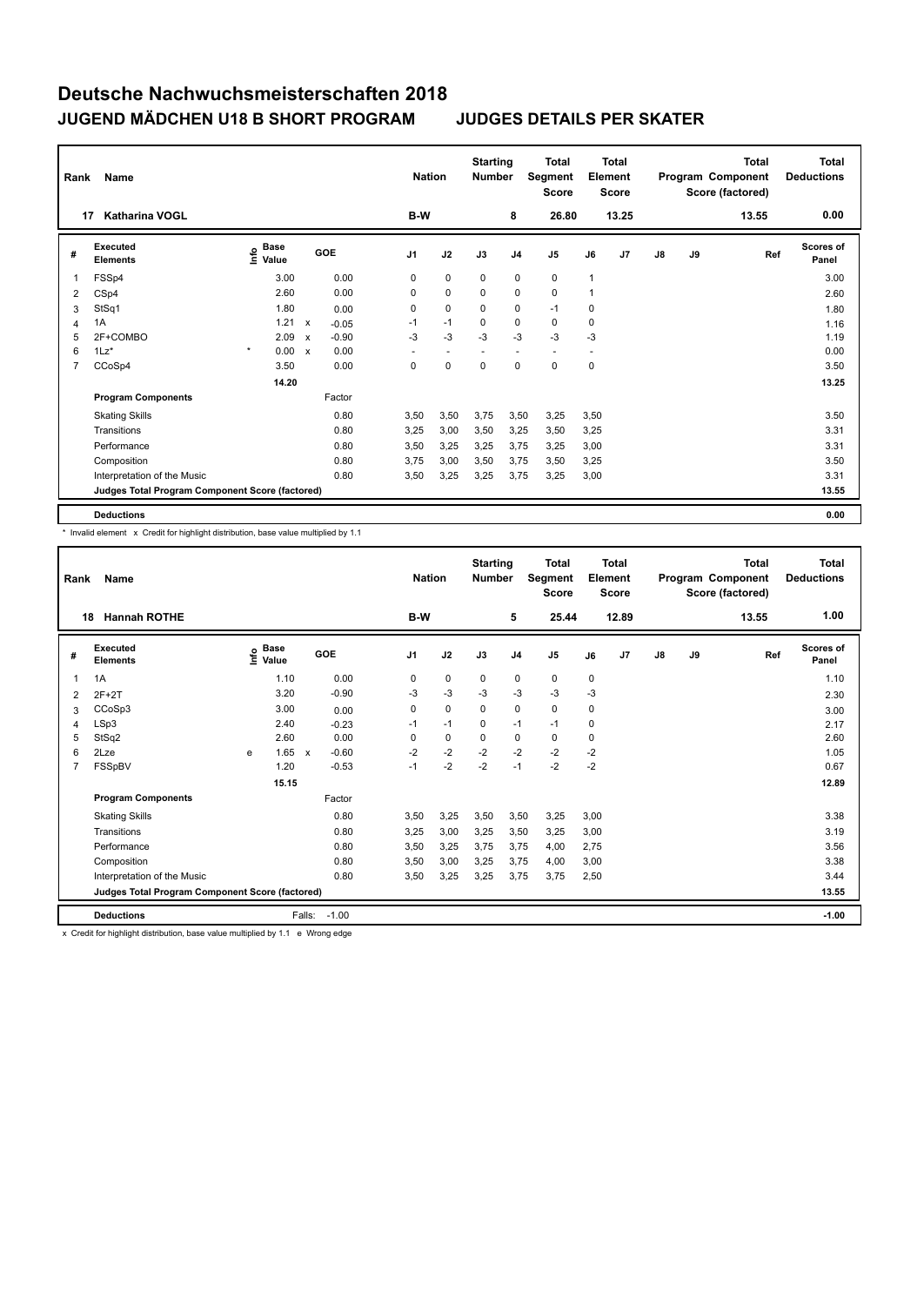| Rank           | Name                                            |                                  |                                   |                | <b>Nation</b>            | <b>Starting</b><br><b>Number</b> |                          | Total<br>Segment<br><b>Score</b> |                          | <b>Total</b><br>Element<br><b>Score</b> |               |    | <b>Total</b><br>Program Component<br>Score (factored) | <b>Total</b><br><b>Deductions</b> |
|----------------|-------------------------------------------------|----------------------------------|-----------------------------------|----------------|--------------------------|----------------------------------|--------------------------|----------------------------------|--------------------------|-----------------------------------------|---------------|----|-------------------------------------------------------|-----------------------------------|
| 17             | <b>Katharina VOGL</b>                           |                                  |                                   | B-W            |                          |                                  | 8                        | 26.80                            |                          | 13.25                                   |               |    | 13.55                                                 | 0.00                              |
| #              | Executed<br><b>Elements</b>                     | <b>Base</b><br>e Base<br>⊆ Value | GOE                               | J <sub>1</sub> | J2                       | J3                               | J <sub>4</sub>           | J <sub>5</sub>                   | J6                       | J7                                      | $\mathsf{J}8$ | J9 | Ref                                                   | <b>Scores of</b><br>Panel         |
| 1              | FSSp4                                           | 3.00                             | 0.00                              | 0              | 0                        | 0                                | 0                        | 0                                | 1                        |                                         |               |    |                                                       | 3.00                              |
| 2              | CSp4                                            | 2.60                             | 0.00                              | 0              | $\mathbf 0$              | $\mathbf 0$                      | 0                        | $\mathbf 0$                      | $\overline{1}$           |                                         |               |    |                                                       | 2.60                              |
| 3              | StSq1                                           | 1.80                             | 0.00                              | 0              | $\mathbf 0$              | 0                                | 0                        | $-1$                             | 0                        |                                         |               |    |                                                       | 1.80                              |
| 4              | 1A                                              | 1.21                             | $\mathsf{x}$<br>$-0.05$           | $-1$           | $-1$                     | $\mathbf 0$                      | $\mathbf 0$              | 0                                | 0                        |                                         |               |    |                                                       | 1.16                              |
| 5              | 2F+COMBO                                        | 2.09                             | $-0.90$<br>$\mathsf{x}$           | $-3$           | $-3$                     | $-3$                             | $-3$                     | $-3$                             | $-3$                     |                                         |               |    |                                                       | 1.19                              |
| 6              | $1\text{Lz}^*$                                  | $\star$<br>0.00                  | 0.00<br>$\boldsymbol{\mathsf{x}}$ | ÷              | $\overline{\phantom{a}}$ |                                  | $\overline{\phantom{a}}$ | $\overline{\phantom{a}}$         | $\overline{\phantom{a}}$ |                                         |               |    |                                                       | 0.00                              |
| $\overline{7}$ | CCoSp4                                          | 3.50                             | 0.00                              | 0              | 0                        | 0                                | 0                        | 0                                | 0                        |                                         |               |    |                                                       | 3.50                              |
|                |                                                 | 14.20                            |                                   |                |                          |                                  |                          |                                  |                          |                                         |               |    |                                                       | 13.25                             |
|                | <b>Program Components</b>                       |                                  | Factor                            |                |                          |                                  |                          |                                  |                          |                                         |               |    |                                                       |                                   |
|                | <b>Skating Skills</b>                           |                                  | 0.80                              | 3,50           | 3,50                     | 3,75                             | 3,50                     | 3,25                             | 3,50                     |                                         |               |    |                                                       | 3.50                              |
|                | Transitions                                     |                                  | 0.80                              | 3,25           | 3,00                     | 3,50                             | 3,25                     | 3,50                             | 3,25                     |                                         |               |    |                                                       | 3.31                              |
|                | Performance                                     |                                  | 0.80                              | 3,50           | 3,25                     | 3,25                             | 3,75                     | 3,25                             | 3,00                     |                                         |               |    |                                                       | 3.31                              |
|                | Composition                                     |                                  | 0.80                              | 3,75           | 3,00                     | 3,50                             | 3,75                     | 3,50                             | 3,25                     |                                         |               |    |                                                       | 3.50                              |
|                | Interpretation of the Music                     |                                  | 0.80                              | 3,50           | 3,25                     | 3,25                             | 3,75                     | 3,25                             | 3,00                     |                                         |               |    |                                                       | 3.31                              |
|                | Judges Total Program Component Score (factored) |                                  |                                   |                |                          |                                  |                          |                                  |                          |                                         |               |    |                                                       | 13.55                             |
|                | <b>Deductions</b>                               |                                  |                                   |                |                          |                                  |                          |                                  |                          |                                         |               |    |                                                       | 0.00                              |

\* Invalid element x Credit for highlight distribution, base value multiplied by 1.1

| Rank           | Name                                            |   |                                    |                           |         | <b>Nation</b>  |             | <b>Starting</b><br><b>Number</b> |                | Total<br>Segment<br><b>Score</b> |      | <b>Total</b><br>Element<br><b>Score</b> |               |    | <b>Total</b><br>Program Component<br>Score (factored) | <b>Total</b><br><b>Deductions</b> |
|----------------|-------------------------------------------------|---|------------------------------------|---------------------------|---------|----------------|-------------|----------------------------------|----------------|----------------------------------|------|-----------------------------------------|---------------|----|-------------------------------------------------------|-----------------------------------|
|                | <b>Hannah ROTHE</b><br>18                       |   |                                    |                           |         | B-W            |             |                                  | 5              | 25.44                            |      | 12.89                                   |               |    | 13.55                                                 | 1.00                              |
| #              | Executed<br><b>Elements</b>                     |   | <b>Base</b><br>$\frac{6}{5}$ Value |                           | GOE     | J <sub>1</sub> | J2          | J3                               | J <sub>4</sub> | J <sub>5</sub>                   | J6   | J7                                      | $\mathsf{J}8$ | J9 | Ref                                                   | <b>Scores of</b><br>Panel         |
| 1              | 1A                                              |   | 1.10                               |                           | 0.00    | 0              | $\pmb{0}$   | 0                                | 0              | $\mathbf 0$                      | 0    |                                         |               |    |                                                       | 1.10                              |
| 2              | $2F+2T$                                         |   | 3.20                               |                           | $-0.90$ | $-3$           | $-3$        | $-3$                             | $-3$           | $-3$                             | $-3$ |                                         |               |    |                                                       | 2.30                              |
| 3              | CCoSp3                                          |   | 3.00                               |                           | 0.00    | 0              | $\mathbf 0$ | 0                                | $\mathbf 0$    | $\mathbf 0$                      | 0    |                                         |               |    |                                                       | 3.00                              |
| $\overline{4}$ | LSp3                                            |   | 2.40                               |                           | $-0.23$ | $-1$           | $-1$        | $\mathbf 0$                      | $-1$           | $-1$                             | 0    |                                         |               |    |                                                       | 2.17                              |
| 5              | StSq2                                           |   | 2.60                               |                           | 0.00    | $\Omega$       | $\mathbf 0$ | 0                                | $\mathbf 0$    | 0                                | 0    |                                         |               |    |                                                       | 2.60                              |
| 6              | 2Lze                                            | e | 1.65                               | $\boldsymbol{\mathsf{x}}$ | $-0.60$ | $-2$           | $-2$        | $-2$                             | $-2$           | $-2$                             | $-2$ |                                         |               |    |                                                       | 1.05                              |
| 7              | FSSpBV                                          |   | 1.20                               |                           | $-0.53$ | $-1$           | $-2$        | $-2$                             | $-1$           | $-2$                             | $-2$ |                                         |               |    |                                                       | 0.67                              |
|                |                                                 |   | 15.15                              |                           |         |                |             |                                  |                |                                  |      |                                         |               |    |                                                       | 12.89                             |
|                | <b>Program Components</b>                       |   |                                    |                           | Factor  |                |             |                                  |                |                                  |      |                                         |               |    |                                                       |                                   |
|                | <b>Skating Skills</b>                           |   |                                    |                           | 0.80    | 3.50           | 3,25        | 3,50                             | 3,50           | 3,25                             | 3.00 |                                         |               |    |                                                       | 3.38                              |
|                | Transitions                                     |   |                                    |                           | 0.80    | 3,25           | 3,00        | 3,25                             | 3,50           | 3,25                             | 3,00 |                                         |               |    |                                                       | 3.19                              |
|                | Performance                                     |   |                                    |                           | 0.80    | 3,50           | 3,25        | 3,75                             | 3,75           | 4,00                             | 2,75 |                                         |               |    |                                                       | 3.56                              |
|                | Composition                                     |   |                                    |                           | 0.80    | 3,50           | 3,00        | 3,25                             | 3,75           | 4,00                             | 3,00 |                                         |               |    |                                                       | 3.38                              |
|                | Interpretation of the Music                     |   |                                    |                           | 0.80    | 3,50           | 3,25        | 3,25                             | 3,75           | 3,75                             | 2,50 |                                         |               |    |                                                       | 3.44                              |
|                | Judges Total Program Component Score (factored) |   |                                    |                           |         |                |             |                                  |                |                                  |      |                                         |               |    |                                                       | 13.55                             |
|                | <b>Deductions</b>                               |   |                                    | Falls:                    | $-1.00$ |                |             |                                  |                |                                  |      |                                         |               |    |                                                       | $-1.00$                           |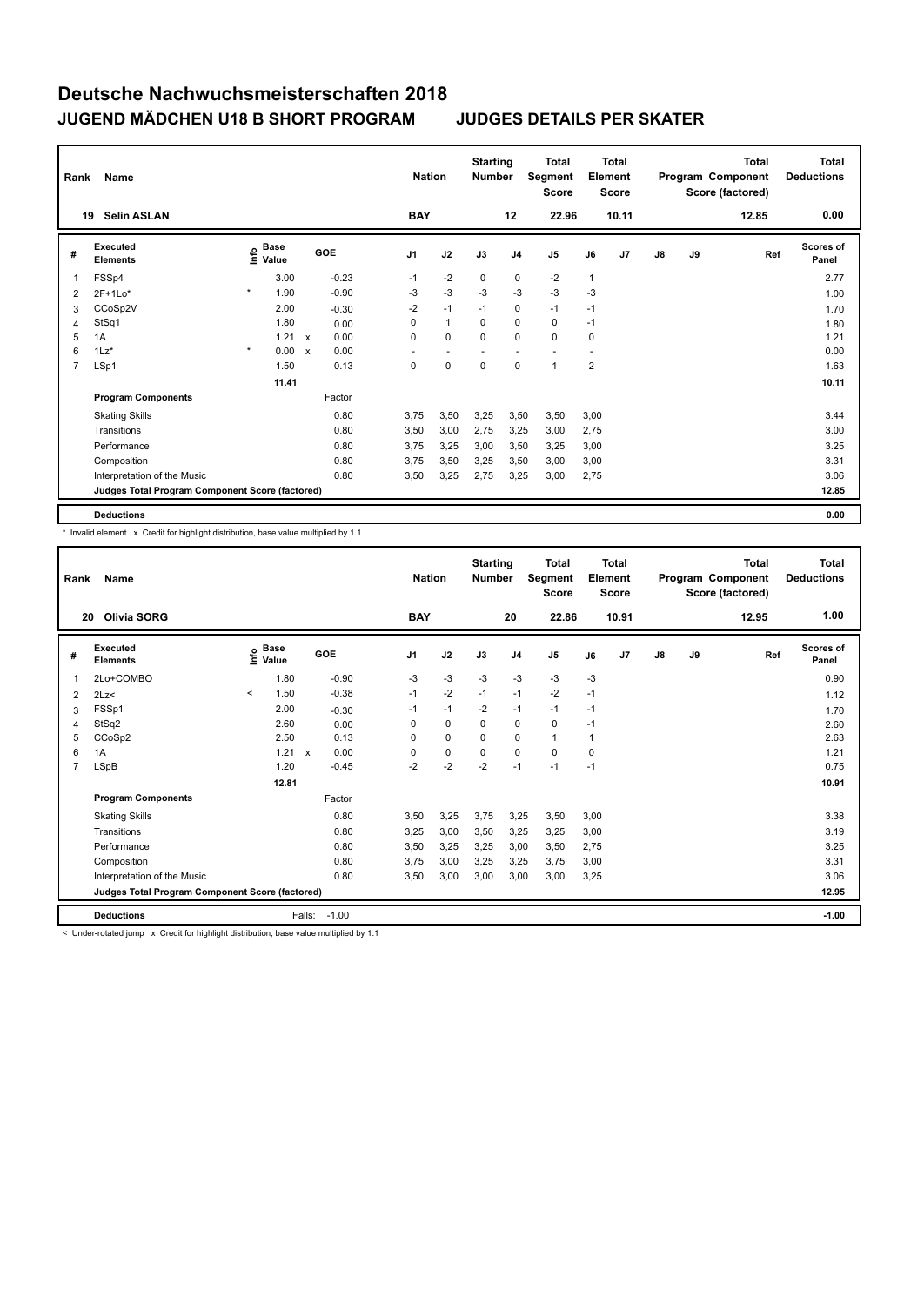| Rank | Name                                            |         |                                  |                           |         |                | <b>Nation</b> | <b>Starting</b><br><b>Number</b> |                          | <b>Total</b><br>Segment<br><b>Score</b> |                | <b>Total</b><br>Element<br><b>Score</b> |    |    | <b>Total</b><br>Program Component<br>Score (factored) | <b>Total</b><br><b>Deductions</b> |
|------|-------------------------------------------------|---------|----------------------------------|---------------------------|---------|----------------|---------------|----------------------------------|--------------------------|-----------------------------------------|----------------|-----------------------------------------|----|----|-------------------------------------------------------|-----------------------------------|
|      | <b>Selin ASLAN</b><br>19                        |         |                                  |                           |         | <b>BAY</b>     |               |                                  | 12                       | 22.96                                   |                | 10.11                                   |    |    | 12.85                                                 | 0.00                              |
| #    | <b>Executed</b><br><b>Elements</b>              |         | <b>Base</b><br>o Base<br>⊆ Value |                           | GOE     | J <sub>1</sub> | J2            | J3                               | J <sub>4</sub>           | J <sub>5</sub>                          | J6             | J7                                      | J8 | J9 | Ref                                                   | Scores of<br>Panel                |
| 1    | FSSp4                                           |         | 3.00                             |                           | $-0.23$ | $-1$           | $-2$          | $\mathbf 0$                      | $\mathbf 0$              | $-2$                                    | $\mathbf{1}$   |                                         |    |    |                                                       | 2.77                              |
| 2    | $2F+1Lo*$                                       | $\star$ | 1.90                             |                           | $-0.90$ | -3             | $-3$          | $-3$                             | -3                       | $-3$                                    | -3             |                                         |    |    |                                                       | 1.00                              |
| 3    | CCoSp2V                                         |         | 2.00                             |                           | $-0.30$ | $-2$           | $-1$          | $-1$                             | $\pmb{0}$                | $-1$                                    | $-1$           |                                         |    |    |                                                       | 1.70                              |
| 4    | StSq1                                           |         | 1.80                             |                           | 0.00    | $\Omega$       | $\mathbf{1}$  | $\Omega$                         | $\mathbf 0$              | 0                                       | $-1$           |                                         |    |    |                                                       | 1.80                              |
| 5    | 1A                                              |         | 1.21                             | $\boldsymbol{\mathsf{x}}$ | 0.00    | $\Omega$       | 0             | $\Omega$                         | $\mathbf 0$              | $\mathbf 0$                             | 0              |                                         |    |    |                                                       | 1.21                              |
| 6    | $1\mathsf{L}z^*$                                | $\star$ | 0.00                             | $\boldsymbol{\mathsf{x}}$ | 0.00    | ٠              | ٠             | $\overline{\phantom{a}}$         | $\overline{\phantom{a}}$ | $\overline{\phantom{a}}$                |                |                                         |    |    |                                                       | 0.00                              |
| 7    | LSp1                                            |         | 1.50                             |                           | 0.13    | $\mathbf 0$    | $\mathbf 0$   | $\pmb{0}$                        | $\mathbf 0$              | $\mathbf{1}$                            | $\overline{2}$ |                                         |    |    |                                                       | 1.63                              |
|      |                                                 |         | 11.41                            |                           |         |                |               |                                  |                          |                                         |                |                                         |    |    |                                                       | 10.11                             |
|      | <b>Program Components</b>                       |         |                                  |                           | Factor  |                |               |                                  |                          |                                         |                |                                         |    |    |                                                       |                                   |
|      | <b>Skating Skills</b>                           |         |                                  |                           | 0.80    | 3,75           | 3,50          | 3,25                             | 3,50                     | 3,50                                    | 3,00           |                                         |    |    |                                                       | 3.44                              |
|      | Transitions                                     |         |                                  |                           | 0.80    | 3,50           | 3,00          | 2,75                             | 3,25                     | 3.00                                    | 2,75           |                                         |    |    |                                                       | 3.00                              |
|      | Performance                                     |         |                                  |                           | 0.80    | 3.75           | 3,25          | 3,00                             | 3,50                     | 3,25                                    | 3,00           |                                         |    |    |                                                       | 3.25                              |
|      | Composition                                     |         |                                  |                           | 0.80    | 3.75           | 3,50          | 3,25                             | 3,50                     | 3,00                                    | 3,00           |                                         |    |    |                                                       | 3.31                              |
|      | Interpretation of the Music                     |         |                                  |                           | 0.80    | 3,50           | 3,25          | 2,75                             | 3,25                     | 3,00                                    | 2,75           |                                         |    |    |                                                       | 3.06                              |
|      | Judges Total Program Component Score (factored) |         |                                  |                           |         |                |               |                                  |                          |                                         |                |                                         |    |    |                                                       | 12.85                             |
|      | <b>Deductions</b>                               |         |                                  |                           |         |                |               |                                  |                          |                                         |                |                                         |    |    |                                                       | 0.00                              |

\* Invalid element x Credit for highlight distribution, base value multiplied by 1.1

| Rank<br>20 | Name<br><b>Olivia SORG</b>                      |         |                                  |                           |         | <b>BAY</b>     | <b>Nation</b> | <b>Starting</b><br><b>Number</b> | 20             | <b>Total</b><br>Segment<br><b>Score</b><br>22.86 |      | <b>Total</b><br>Element<br><b>Score</b><br>10.91 |               |    | <b>Total</b><br>Program Component<br>Score (factored)<br>12.95 | <b>Total</b><br><b>Deductions</b><br>1.00 |
|------------|-------------------------------------------------|---------|----------------------------------|---------------------------|---------|----------------|---------------|----------------------------------|----------------|--------------------------------------------------|------|--------------------------------------------------|---------------|----|----------------------------------------------------------------|-------------------------------------------|
|            |                                                 |         |                                  |                           |         |                |               |                                  |                |                                                  |      |                                                  |               |    |                                                                |                                           |
| #          | Executed<br><b>Elements</b>                     |         | <b>Base</b><br>e Base<br>⊆ Value |                           | GOE     | J <sub>1</sub> | J2            | J3                               | J <sub>4</sub> | J5                                               | J6   | J7                                               | $\mathsf{J}8$ | J9 | Ref                                                            | <b>Scores of</b><br>Panel                 |
| 1          | 2Lo+COMBO                                       |         | 1.80                             |                           | $-0.90$ | $-3$           | $-3$          | $-3$                             | $-3$           | $-3$                                             | $-3$ |                                                  |               |    |                                                                | 0.90                                      |
| 2          | 2Lz                                             | $\prec$ | 1.50                             |                           | $-0.38$ | $-1$           | $-2$          | $-1$                             | $-1$           | $-2$                                             | $-1$ |                                                  |               |    |                                                                | 1.12                                      |
| 3          | FSSp1                                           |         | 2.00                             |                           | $-0.30$ | $-1$           | $-1$          | $-2$                             | $-1$           | $-1$                                             | $-1$ |                                                  |               |    |                                                                | 1.70                                      |
| 4          | StSq2                                           |         | 2.60                             |                           | 0.00    | 0              | $\mathbf 0$   | 0                                | 0              | 0                                                | $-1$ |                                                  |               |    |                                                                | 2.60                                      |
| 5          | CCoSp2                                          |         | 2.50                             |                           | 0.13    | $\Omega$       | $\mathbf 0$   | $\Omega$                         | 0              | $\mathbf{1}$                                     | 1    |                                                  |               |    |                                                                | 2.63                                      |
| 6          | 1A                                              |         | 1.21                             | $\boldsymbol{\mathsf{x}}$ | 0.00    | $\Omega$       | $\mathbf 0$   | $\Omega$                         | $\Omega$       | $\Omega$                                         | 0    |                                                  |               |    |                                                                | 1.21                                      |
| 7          | LSpB                                            |         | 1.20                             |                           | $-0.45$ | $-2$           | $-2$          | $-2$                             | $-1$           | $-1$                                             | $-1$ |                                                  |               |    |                                                                | 0.75                                      |
|            |                                                 |         | 12.81                            |                           |         |                |               |                                  |                |                                                  |      |                                                  |               |    |                                                                | 10.91                                     |
|            | <b>Program Components</b>                       |         |                                  |                           | Factor  |                |               |                                  |                |                                                  |      |                                                  |               |    |                                                                |                                           |
|            | <b>Skating Skills</b>                           |         |                                  |                           | 0.80    | 3.50           | 3,25          | 3.75                             | 3,25           | 3,50                                             | 3,00 |                                                  |               |    |                                                                | 3.38                                      |
|            | Transitions                                     |         |                                  |                           | 0.80    | 3,25           | 3,00          | 3,50                             | 3,25           | 3,25                                             | 3,00 |                                                  |               |    |                                                                | 3.19                                      |
|            | Performance                                     |         |                                  |                           | 0.80    | 3,50           | 3,25          | 3,25                             | 3,00           | 3,50                                             | 2,75 |                                                  |               |    |                                                                | 3.25                                      |
|            | Composition                                     |         |                                  |                           | 0.80    | 3.75           | 3,00          | 3,25                             | 3,25           | 3,75                                             | 3,00 |                                                  |               |    |                                                                | 3.31                                      |
|            | Interpretation of the Music                     |         |                                  |                           | 0.80    | 3,50           | 3,00          | 3,00                             | 3,00           | 3,00                                             | 3,25 |                                                  |               |    |                                                                | 3.06                                      |
|            | Judges Total Program Component Score (factored) |         |                                  |                           |         |                |               |                                  |                |                                                  |      |                                                  |               |    |                                                                | 12.95                                     |
|            | <b>Deductions</b>                               |         |                                  | Falls:                    | $-1.00$ |                |               |                                  |                |                                                  |      |                                                  |               |    |                                                                | $-1.00$                                   |

< Under-rotated jump x Credit for highlight distribution, base value multiplied by 1.1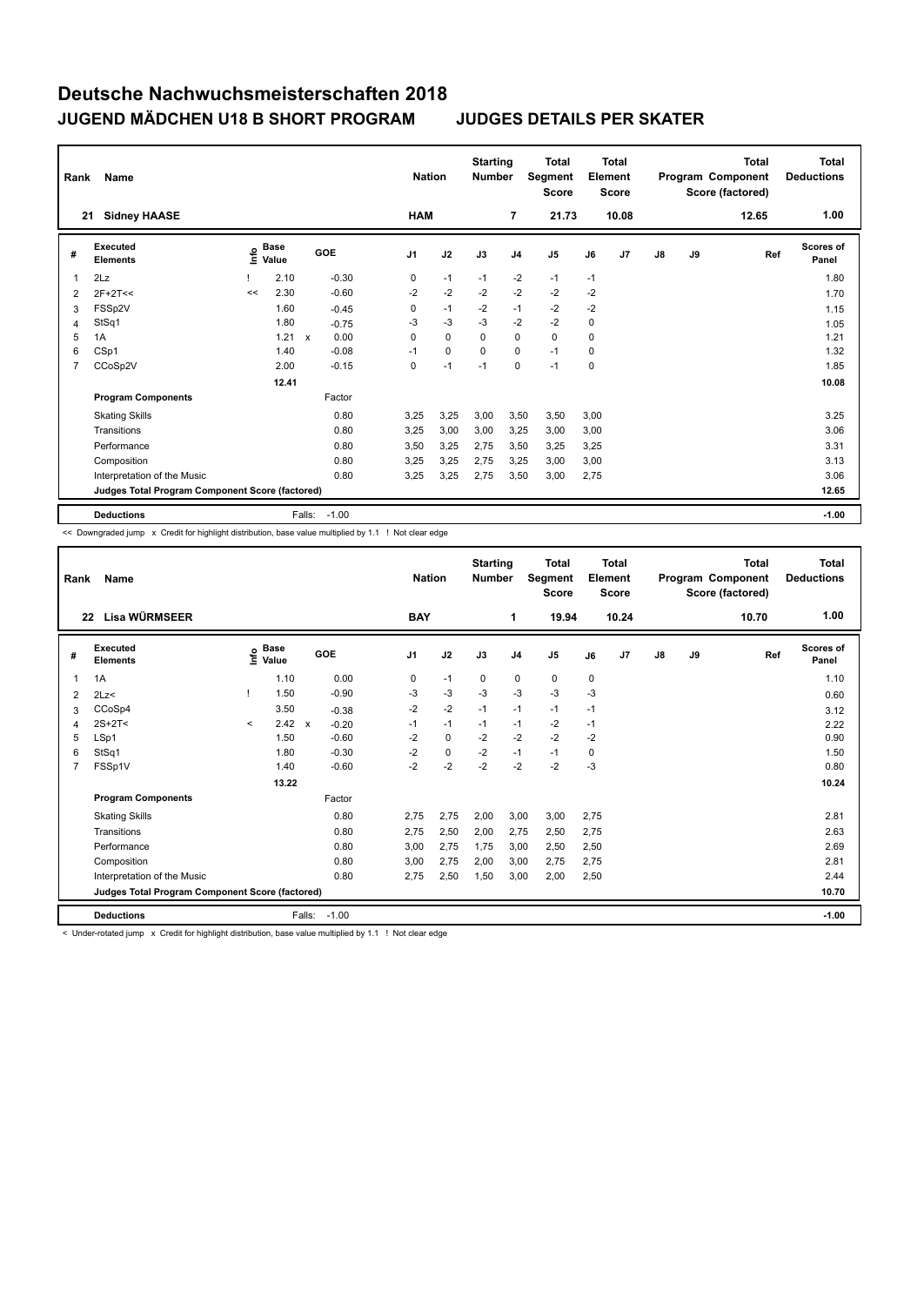| Rank           | Name                                            |      |                      |              |         |                | <b>Nation</b> | <b>Starting</b><br><b>Number</b> |                | <b>Total</b><br>Segment<br><b>Score</b> |      | <b>Total</b><br>Element<br><b>Score</b> |               |    | <b>Total</b><br>Program Component<br>Score (factored) | <b>Total</b><br><b>Deductions</b> |
|----------------|-------------------------------------------------|------|----------------------|--------------|---------|----------------|---------------|----------------------------------|----------------|-----------------------------------------|------|-----------------------------------------|---------------|----|-------------------------------------------------------|-----------------------------------|
| 21             | <b>Sidney HAASE</b>                             |      |                      |              |         |                | <b>HAM</b>    |                                  | $\overline{7}$ | 21.73                                   |      | 10.08                                   |               |    | 12.65                                                 | 1.00                              |
| #              | Executed<br><b>Elements</b>                     | Info | <b>Base</b><br>Value |              | GOE     | J <sub>1</sub> | J2            | J3                               | J <sub>4</sub> | J <sub>5</sub>                          | J6   | J7                                      | $\mathsf{J}8$ | J9 | Ref                                                   | <b>Scores of</b><br>Panel         |
| 1              | 2Lz                                             |      | 2.10                 |              | $-0.30$ | 0              | $-1$          | $-1$                             | $-2$           | $-1$                                    | $-1$ |                                         |               |    |                                                       | 1.80                              |
| 2              | $2F+2T<<$                                       | <<   | 2.30                 |              | $-0.60$ | $-2$           | $-2$          | $-2$                             | $-2$           | $-2$                                    | $-2$ |                                         |               |    |                                                       | 1.70                              |
| 3              | FSSp2V                                          |      | 1.60                 |              | $-0.45$ | 0              | $-1$          | $-2$                             | $-1$           | $-2$                                    | $-2$ |                                         |               |    |                                                       | 1.15                              |
| 4              | StSq1                                           |      | 1.80                 |              | $-0.75$ | -3             | $-3$          | $-3$                             | $-2$           | $-2$                                    | 0    |                                         |               |    |                                                       | 1.05                              |
| 5              | 1A                                              |      | 1.21                 | $\mathsf{x}$ | 0.00    | $\mathbf 0$    | $\mathbf 0$   | $\Omega$                         | $\mathbf 0$    | $\mathbf 0$                             | 0    |                                         |               |    |                                                       | 1.21                              |
| 6              | CSp1                                            |      | 1.40                 |              | $-0.08$ | $-1$           | 0             | 0                                | $\mathbf 0$    | $-1$                                    | 0    |                                         |               |    |                                                       | 1.32                              |
| $\overline{7}$ | CCoSp2V                                         |      | 2.00                 |              | $-0.15$ | 0              | $-1$          | $-1$                             | 0              | $-1$                                    | 0    |                                         |               |    |                                                       | 1.85                              |
|                |                                                 |      | 12.41                |              |         |                |               |                                  |                |                                         |      |                                         |               |    |                                                       | 10.08                             |
|                | <b>Program Components</b>                       |      |                      |              | Factor  |                |               |                                  |                |                                         |      |                                         |               |    |                                                       |                                   |
|                | <b>Skating Skills</b>                           |      |                      |              | 0.80    | 3,25           | 3,25          | 3,00                             | 3,50           | 3,50                                    | 3,00 |                                         |               |    |                                                       | 3.25                              |
|                | Transitions                                     |      |                      |              | 0.80    | 3,25           | 3,00          | 3,00                             | 3,25           | 3,00                                    | 3,00 |                                         |               |    |                                                       | 3.06                              |
|                | Performance                                     |      |                      |              | 0.80    | 3,50           | 3,25          | 2,75                             | 3,50           | 3,25                                    | 3,25 |                                         |               |    |                                                       | 3.31                              |
|                | Composition                                     |      |                      |              | 0.80    | 3,25           | 3,25          | 2,75                             | 3,25           | 3,00                                    | 3,00 |                                         |               |    |                                                       | 3.13                              |
|                | Interpretation of the Music                     |      |                      |              | 0.80    | 3,25           | 3,25          | 2,75                             | 3,50           | 3,00                                    | 2,75 |                                         |               |    |                                                       | 3.06                              |
|                | Judges Total Program Component Score (factored) |      |                      |              |         |                |               |                                  |                |                                         |      |                                         |               |    |                                                       | 12.65                             |
|                | <b>Deductions</b>                               |      |                      | Falls:       | $-1.00$ |                |               |                                  |                |                                         |      |                                         |               |    |                                                       | $-1.00$                           |

<< Downgraded jump x Credit for highlight distribution, base value multiplied by 1.1 ! Not clear edge

| Rank | Name                                            |         | <b>Nation</b>                    |              | <b>Starting</b><br><b>Number</b> |            | <b>Total</b><br>Segment<br><b>Score</b> |      | Total<br>Element<br><b>Score</b> |       |      | <b>Total</b><br>Program Component<br>Score (factored) | <b>Total</b><br><b>Deductions</b> |    |       |                           |
|------|-------------------------------------------------|---------|----------------------------------|--------------|----------------------------------|------------|-----------------------------------------|------|----------------------------------|-------|------|-------------------------------------------------------|-----------------------------------|----|-------|---------------------------|
| 22   | Lisa WÜRMSEER                                   |         |                                  |              |                                  | <b>BAY</b> |                                         |      | 1                                | 19.94 |      | 10.24                                                 |                                   |    | 10.70 | 1.00                      |
| #    | Executed<br><b>Elements</b>                     |         | <b>Base</b><br>e Base<br>⊆ Value |              | GOE                              | J1         | J2                                      | J3   | J <sub>4</sub>                   | J5    | J6   | J <sub>7</sub>                                        | J8                                | J9 | Ref   | <b>Scores of</b><br>Panel |
| 1    | 1A                                              |         | 1.10                             |              | 0.00                             | 0          | $-1$                                    | 0    | 0                                | 0     | 0    |                                                       |                                   |    |       | 1.10                      |
| 2    | 2Lz                                             |         | 1.50                             |              | $-0.90$                          | $-3$       | $-3$                                    | $-3$ | $-3$                             | $-3$  | $-3$ |                                                       |                                   |    |       | 0.60                      |
| 3    | CCoSp4                                          |         | 3.50                             |              | $-0.38$                          | $-2$       | $-2$                                    | $-1$ | $-1$                             | $-1$  | $-1$ |                                                       |                                   |    |       | 3.12                      |
| 4    | $2S+2T<$                                        | $\prec$ | 2.42                             | $\mathsf{x}$ | $-0.20$                          | $-1$       | $-1$                                    | $-1$ | $-1$                             | $-2$  | $-1$ |                                                       |                                   |    |       | 2.22                      |
| 5    | LSp1                                            |         | 1.50                             |              | $-0.60$                          | $-2$       | 0                                       | $-2$ | $-2$                             | $-2$  | $-2$ |                                                       |                                   |    |       | 0.90                      |
| 6    | StSq1                                           |         | 1.80                             |              | $-0.30$                          | $-2$       | $\mathbf 0$                             | $-2$ | $-1$                             | $-1$  | 0    |                                                       |                                   |    |       | 1.50                      |
| 7    | FSSp1V                                          |         | 1.40                             |              | $-0.60$                          | $-2$       | $-2$                                    | $-2$ | $-2$                             | $-2$  | $-3$ |                                                       |                                   |    |       | 0.80                      |
|      |                                                 |         | 13.22                            |              |                                  |            |                                         |      |                                  |       |      |                                                       |                                   |    |       | 10.24                     |
|      | <b>Program Components</b>                       |         |                                  |              | Factor                           |            |                                         |      |                                  |       |      |                                                       |                                   |    |       |                           |
|      | <b>Skating Skills</b>                           |         |                                  |              | 0.80                             | 2.75       | 2,75                                    | 2,00 | 3,00                             | 3,00  | 2.75 |                                                       |                                   |    |       | 2.81                      |
|      | Transitions                                     |         |                                  |              | 0.80                             | 2.75       | 2,50                                    | 2,00 | 2.75                             | 2,50  | 2.75 |                                                       |                                   |    |       | 2.63                      |
|      | Performance                                     |         |                                  |              | 0.80                             | 3,00       | 2,75                                    | 1,75 | 3,00                             | 2,50  | 2,50 |                                                       |                                   |    |       | 2.69                      |
|      | Composition                                     |         |                                  |              | 0.80                             | 3,00       | 2,75                                    | 2,00 | 3,00                             | 2,75  | 2,75 |                                                       |                                   |    |       | 2.81                      |
|      | Interpretation of the Music                     |         |                                  |              | 0.80                             | 2.75       | 2,50                                    | 1,50 | 3,00                             | 2,00  | 2,50 |                                                       |                                   |    |       | 2.44                      |
|      | Judges Total Program Component Score (factored) |         |                                  |              |                                  |            |                                         |      |                                  |       |      |                                                       |                                   |    |       | 10.70                     |
|      | <b>Deductions</b>                               |         |                                  | Falls:       | $-1.00$                          |            |                                         |      |                                  |       |      |                                                       |                                   |    |       | $-1.00$                   |

< Under-rotated jump x Credit for highlight distribution, base value multiplied by 1.1 ! Not clear edge